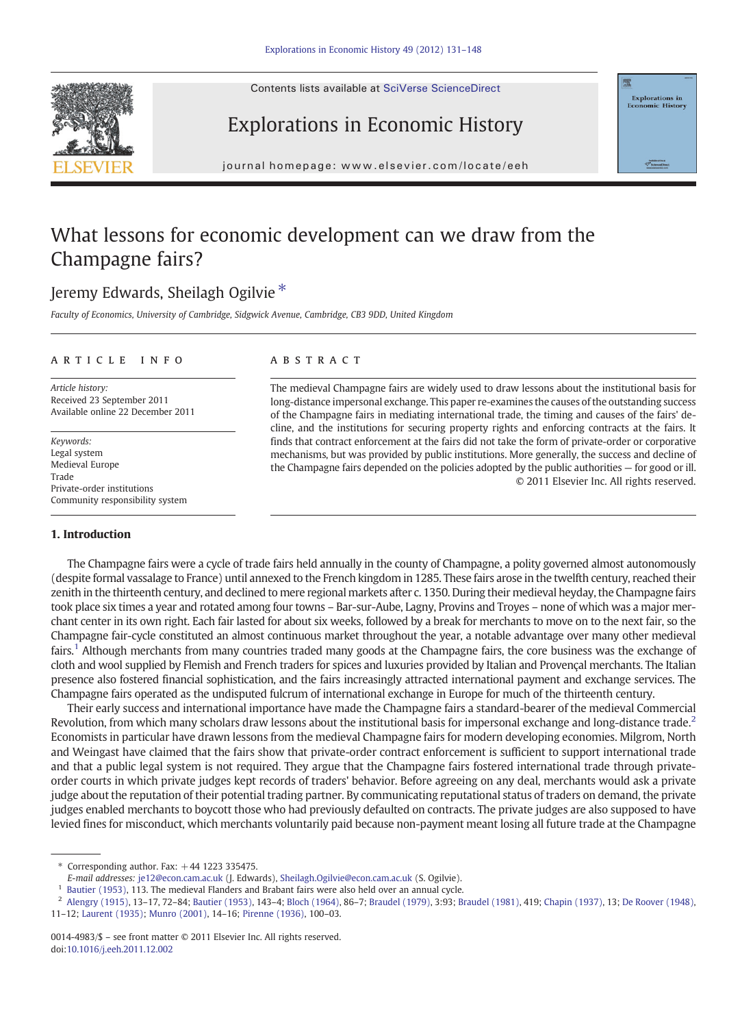Contents lists available at SciVerse ScienceDirect





journal homepage: www.elsevier.com/locate/eeh/locate/eeh/locate/eeh/locate/eeh/locate/eeh/locate/eeh/locate/eeh/locate/eeh/locate/eeh/locate/eeh/locate/eeh/locate/eeh/locate/eeh/locate/eeh/locate/eeh/locate/eeh/locate/eeh

# What lessons for economic development can we draw from the Champagne fairs?

## Jeremy Edwards, Sheilagh Ogilvie<sup>\*</sup>

Faculty of Economics, University of Cambridge, Sidgwick Avenue, Cambridge, CB3 9DD, United Kingdom

#### article info abstract

Article history: Received 23 September 2011 Available online 22 December 2011

Keywords: Legal system Medieval Europe Trade Private-order institutions Community responsibility system

#### 1. Introduction

The medieval Champagne fairs are widely used to draw lessons about the institutional basis for long-distance impersonal exchange. This paper re-examines the causes of the outstanding success of the Champagne fairs in mediating international trade, the timing and causes of the fairs' decline, and the institutions for securing property rights and enforcing contracts at the fairs. It finds that contract enforcement at the fairs did not take the form of private-order or corporative mechanisms, but was provided by public institutions. More generally, the success and decline of the Champagne fairs depended on the policies adopted by the public authorities — for good or ill. © 2011 Elsevier Inc. All rights reserved.

**Explorations in**<br>conomic Histor

The Champagne fairs were a cycle of trade fairs held annually in the county of Champagne, a polity governed almost autonomously (despite formal vassalage to France) until annexed to the French kingdom in 1285. These fairs arose in the twelfth century, reached their zenith in the thirteenth century, and declined to mere regional markets after c. 1350. During their medieval heyday, the Champagne fairs took place six times a year and rotated among four towns – Bar-sur-Aube, Lagny, Provins and Troyes – none of which was a major merchant center in its own right. Each fair lasted for about six weeks, followed by a break for merchants to move on to the next fair, so the Champagne fair-cycle constituted an almost continuous market throughout the year, a notable advantage over many other medieval fairs.<sup>1</sup> Although merchants from many countries traded many goods at the Champagne fairs, the core business was the exchange of cloth and wool supplied by Flemish and French traders for spices and luxuries provided by Italian and Provençal merchants. The Italian presence also fostered financial sophistication, and the fairs increasingly attracted international payment and exchange services. The Champagne fairs operated as the undisputed fulcrum of international exchange in Europe for much of the thirteenth century.

Their early success and international importance have made the Champagne fairs a standard-bearer of the medieval Commercial Revolution, from which many scholars draw lessons about the institutional basis for impersonal exchange and long-distance trade.<sup>2</sup> Economists in particular have drawn lessons from the medieval Champagne fairs for modern developing economies. Milgrom, North and Weingast have claimed that the fairs show that private-order contract enforcement is sufficient to support international trade and that a public legal system is not required. They argue that the Champagne fairs fostered international trade through privateorder courts in which private judges kept records of traders' behavior. Before agreeing on any deal, merchants would ask a private judge about the reputation of their potential trading partner. By communicating reputational status of traders on demand, the private judges enabled merchants to boycott those who had previously defaulted on contracts. The private judges are also supposed to have levied fines for misconduct, which merchants voluntarily paid because non-payment meant losing all future trade at the Champagne

 $*$  Corresponding author. Fax:  $+44$  1223 335475.

E-mail addresses: [je12@econ.cam.ac.uk](mailto:je12@econ.cam.ac.uk) (J. Edwards), [Sheilagh.Ogilvie@econ.cam.ac.uk](mailto:Sheilagh.Ogilvie@econ.cam.ac.uk) (S. Ogilvie).

[Bautier \(1953\)](#page-16-0), 113. The medieval Flanders and Brabant fairs were also held over an annual cycle.

<sup>2</sup> [Alengry \(1915\),](#page-15-0) 13–17, 72–84; [Bautier \(1953\)](#page-16-0), 143–4; [Bloch \(1964\)](#page-16-0), 86–7; [Braudel \(1979\)](#page-16-0), 3:93; [Braudel \(1981\)](#page-16-0), 419; [Chapin \(1937\),](#page-16-0) 13; [De Roover \(1948\),](#page-16-0)

<sup>11</sup>–12; [Laurent \(1935\);](#page-16-0) [Munro \(2001\),](#page-16-0) 14–16; [Pirenne \(1936\)](#page-16-0), 100–03.

<sup>0014-4983/\$</sup> – see front matter © 2011 Elsevier Inc. All rights reserved. doi[:10.1016/j.eeh.2011.12.002](http://dx.doi.org/10.1016/j.eeh.2011.12.002)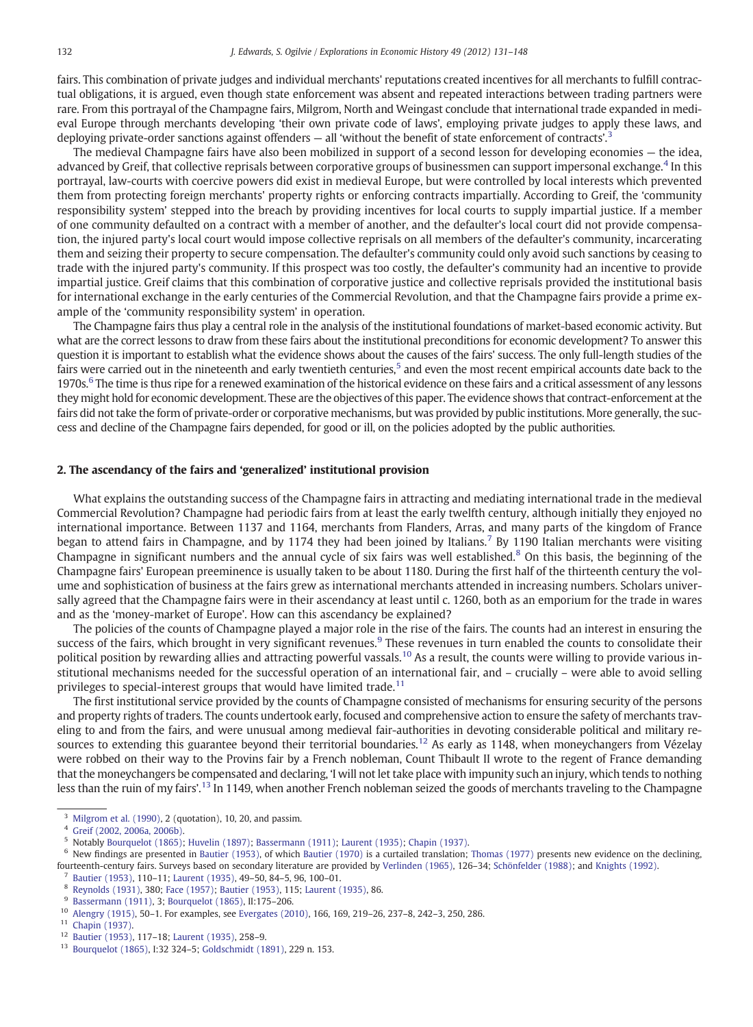fairs. This combination of private judges and individual merchants' reputations created incentives for all merchants to fulfill contractual obligations, it is argued, even though state enforcement was absent and repeated interactions between trading partners were rare. From this portrayal of the Champagne fairs, Milgrom, North and Weingast conclude that international trade expanded in medieval Europe through merchants developing 'their own private code of laws', employing private judges to apply these laws, and deploying private-order sanctions against offenders — all 'without the benefit of state enforcement of contracts'.<sup>3</sup>

The medieval Champagne fairs have also been mobilized in support of a second lesson for developing economies — the idea, advanced by Greif, that collective reprisals between corporative groups of businessmen can support impersonal exchange.<sup>4</sup> In this portrayal, law-courts with coercive powers did exist in medieval Europe, but were controlled by local interests which prevented them from protecting foreign merchants' property rights or enforcing contracts impartially. According to Greif, the 'community responsibility system' stepped into the breach by providing incentives for local courts to supply impartial justice. If a member of one community defaulted on a contract with a member of another, and the defaulter's local court did not provide compensation, the injured party's local court would impose collective reprisals on all members of the defaulter's community, incarcerating them and seizing their property to secure compensation. The defaulter's community could only avoid such sanctions by ceasing to trade with the injured party's community. If this prospect was too costly, the defaulter's community had an incentive to provide impartial justice. Greif claims that this combination of corporative justice and collective reprisals provided the institutional basis for international exchange in the early centuries of the Commercial Revolution, and that the Champagne fairs provide a prime example of the 'community responsibility system' in operation.

The Champagne fairs thus play a central role in the analysis of the institutional foundations of market-based economic activity. But what are the correct lessons to draw from these fairs about the institutional preconditions for economic development? To answer this question it is important to establish what the evidence shows about the causes of the fairs' success. The only full-length studies of the fairs were carried out in the nineteenth and early twentieth centuries,<sup>5</sup> and even the most recent empirical accounts date back to the 1970s.<sup>6</sup> The time is thus ripe for a renewed examination of the historical evidence on these fairs and a critical assessment of any lessons they might hold for economic development. These are the objectives of this paper. The evidence shows that contract-enforcement at the fairs did not take the form of private-order or corporative mechanisms, but was provided by public institutions. More generally, the success and decline of the Champagne fairs depended, for good or ill, on the policies adopted by the public authorities.

### 2. The ascendancy of the fairs and 'generalized' institutional provision

What explains the outstanding success of the Champagne fairs in attracting and mediating international trade in the medieval Commercial Revolution? Champagne had periodic fairs from at least the early twelfth century, although initially they enjoyed no international importance. Between 1137 and 1164, merchants from Flanders, Arras, and many parts of the kingdom of France began to attend fairs in Champagne, and by 1174 they had been joined by Italians.<sup>7</sup> By 1190 Italian merchants were visiting Champagne in significant numbers and the annual cycle of six fairs was well established.<sup>8</sup> On this basis, the beginning of the Champagne fairs' European preeminence is usually taken to be about 1180. During the first half of the thirteenth century the volume and sophistication of business at the fairs grew as international merchants attended in increasing numbers. Scholars universally agreed that the Champagne fairs were in their ascendancy at least until c. 1260, both as an emporium for the trade in wares and as the 'money-market of Europe'. How can this ascendancy be explained?

The policies of the counts of Champagne played a major role in the rise of the fairs. The counts had an interest in ensuring the success of the fairs, which brought in very significant revenues.<sup>9</sup> These revenues in turn enabled the counts to consolidate their political position by rewarding allies and attracting powerful vassals.<sup>10</sup> As a result, the counts were willing to provide various institutional mechanisms needed for the successful operation of an international fair, and – crucially – were able to avoid selling privileges to special-interest groups that would have limited trade.<sup>11</sup>

The first institutional service provided by the counts of Champagne consisted of mechanisms for ensuring security of the persons and property rights of traders. The counts undertook early, focused and comprehensive action to ensure the safety of merchants traveling to and from the fairs, and were unusual among medieval fair-authorities in devoting considerable political and military resources to extending this guarantee beyond their territorial boundaries.<sup>12</sup> As early as 1148, when moneychangers from Vézelay were robbed on their way to the Provins fair by a French nobleman, Count Thibault II wrote to the regent of France demanding that the moneychangers be compensated and declaring, 'I will not let take place with impunity such an injury, which tends to nothing less than the ruin of my fairs'.<sup>13</sup> In 1149, when another French nobleman seized the goods of merchants traveling to the Champagne

<sup>&</sup>lt;sup>3</sup> [Milgrom et al. \(1990\)](#page-16-0), 2 (quotation), 10, 20, and passim.<br> $\frac{4 \text{ C} \cdot \text{C} \cdot \text{C} \cdot (2002, 20065, 20065)}{2006}$ 

[Greif \(2002, 2006a, 2006b\)](#page-16-0).

<sup>5</sup> Notably [Bourquelot \(1865\);](#page-16-0) [Huvelin \(1897\)](#page-16-0); [Bassermann \(1911\);](#page-15-0) [Laurent \(1935\)](#page-16-0); [Chapin \(1937\).](#page-16-0)

 $<sup>6</sup>$  New findings are presented in [Bautier \(1953\),](#page-16-0) of which [Bautier \(1970\)](#page-16-0) is a curtailed translation; [Thomas \(1977\)](#page-16-0) presents new evidence on the declining,</sup> fourteenth-century fairs. Surveys based on secondary literature are provided by [Verlinden \(1965\)](#page-17-0), 126–34; [Schönfelder \(1988\);](#page-16-0) and [Knights \(1992\).](#page-16-0)

<sup>7</sup> [Bautier \(1953\),](#page-16-0) 110–11; [Laurent \(1935\),](#page-16-0) 49–50, 84–5, 96, 100–01.

<sup>8</sup> [Reynolds \(1931\)](#page-16-0), 380; [Face \(1957\);](#page-16-0) [Bautier \(1953\)](#page-16-0), 115; [Laurent \(1935\),](#page-16-0) 86.

<sup>9</sup> [Bassermann \(1911\)](#page-15-0), 3; [Bourquelot \(1865\),](#page-16-0) II:175–206.

<sup>10</sup> [Alengry \(1915\),](#page-15-0) 50–1. For examples, see [Evergates \(2010\),](#page-16-0) 166, 169, 219–26, 237–8, 242–3, 250, 286.

<sup>11</sup> [Chapin \(1937\)](#page-16-0).

<sup>12</sup> [Bautier \(1953\),](#page-16-0) 117–18; [Laurent \(1935\),](#page-16-0) 258–9.

<sup>13</sup> [Bourquelot \(1865\)](#page-16-0), I:32 324–5; [Goldschmidt \(1891\),](#page-16-0) 229 n. 153.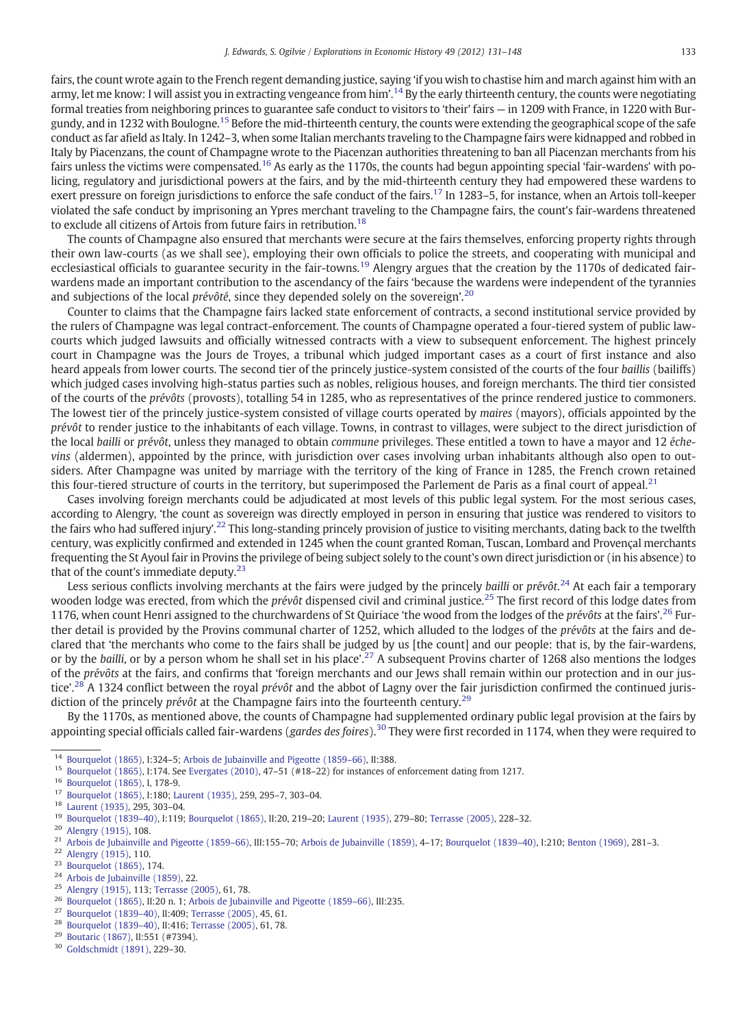fairs, the count wrote again to the French regent demanding justice, saying 'if you wish to chastise him and march against him with an army, let me know: I will assist you in extracting vengeance from him'.<sup>14</sup> By the early thirteenth century, the counts were negotiating formal treaties from neighboring princes to guarantee safe conduct to visitors to 'their' fairs — in 1209 with France, in 1220 with Burgundy, and in 1232 with Boulogne.<sup>15</sup> Before the mid-thirteenth century, the counts were extending the geographical scope of the safe conduct as far afield as Italy. In 1242–3, when some Italian merchants traveling to the Champagne fairs were kidnapped and robbed in Italy by Piacenzans, the count of Champagne wrote to the Piacenzan authorities threatening to ban all Piacenzan merchants from his fairs unless the victims were compensated.<sup>16</sup> As early as the 1170s, the counts had begun appointing special 'fair-wardens' with policing, regulatory and jurisdictional powers at the fairs, and by the mid-thirteenth century they had empowered these wardens to exert pressure on foreign jurisdictions to enforce the safe conduct of the fairs.<sup>17</sup> In 1283–5, for instance, when an Artois toll-keeper violated the safe conduct by imprisoning an Ypres merchant traveling to the Champagne fairs, the count's fair-wardens threatened to exclude all citizens of Artois from future fairs in retribution.<sup>18</sup>

The counts of Champagne also ensured that merchants were secure at the fairs themselves, enforcing property rights through their own law-courts (as we shall see), employing their own officials to police the streets, and cooperating with municipal and ecclesiastical officials to guarantee security in the fair-towns.<sup>19</sup> Alengry argues that the creation by the 1170s of dedicated fairwardens made an important contribution to the ascendancy of the fairs 'because the wardens were independent of the tyrannies and subjections of the local prévôté, since they depended solely on the sovereign'.<sup>20</sup>

Counter to claims that the Champagne fairs lacked state enforcement of contracts, a second institutional service provided by the rulers of Champagne was legal contract-enforcement. The counts of Champagne operated a four-tiered system of public lawcourts which judged lawsuits and officially witnessed contracts with a view to subsequent enforcement. The highest princely court in Champagne was the Jours de Troyes, a tribunal which judged important cases as a court of first instance and also heard appeals from lower courts. The second tier of the princely justice-system consisted of the courts of the four baillis (bailiffs) which judged cases involving high-status parties such as nobles, religious houses, and foreign merchants. The third tier consisted of the courts of the prévôts (provosts), totalling 54 in 1285, who as representatives of the prince rendered justice to commoners. The lowest tier of the princely justice-system consisted of village courts operated by maires (mayors), officials appointed by the prévôt to render justice to the inhabitants of each village. Towns, in contrast to villages, were subject to the direct jurisdiction of the local bailli or prévôt, unless they managed to obtain commune privileges. These entitled a town to have a mayor and 12 échevins (aldermen), appointed by the prince, with jurisdiction over cases involving urban inhabitants although also open to outsiders. After Champagne was united by marriage with the territory of the king of France in 1285, the French crown retained this four-tiered structure of courts in the territory, but superimposed the Parlement de Paris as a final court of appeal.<sup>21</sup>

Cases involving foreign merchants could be adjudicated at most levels of this public legal system. For the most serious cases, according to Alengry, 'the count as sovereign was directly employed in person in ensuring that justice was rendered to visitors to the fairs who had suffered injury'.<sup>22</sup> This long-standing princely provision of justice to visiting merchants, dating back to the twelfth century, was explicitly confirmed and extended in 1245 when the count granted Roman, Tuscan, Lombard and Provençal merchants frequenting the St Ayoul fair in Provins the privilege of being subject solely to the count's own direct jurisdiction or (in his absence) to that of the count's immediate deputy. $23$ 

Less serious conflicts involving merchants at the fairs were judged by the princely *bailli* or prévôt.<sup>24</sup> At each fair a temporary wooden lodge was erected, from which the *prévôt* dispensed civil and criminal justice.<sup>25</sup> The first record of this lodge dates from 1176, when count Henri assigned to the churchwardens of St Quiriace 'the wood from the lodges of the prévôts at the fairs'.<sup>26</sup> Further detail is provided by the Provins communal charter of 1252, which alluded to the lodges of the *prévôts* at the fairs and declared that 'the merchants who come to the fairs shall be judged by us [the count] and our people: that is, by the fair-wardens, or by the bailli, or by a person whom he shall set in his place'.<sup>27</sup> A subsequent Provins charter of 1268 also mentions the lodges of the prévôts at the fairs, and confirms that 'foreign merchants and our Jews shall remain within our protection and in our justice'.<sup>28</sup> A 1324 conflict between the royal *prévôt* and the abbot of Lagny over the fair jurisdiction confirmed the continued jurisdiction of the princely *prévôt* at the Champagne fairs into the fourteenth century.<sup>29</sup>

By the 1170s, as mentioned above, the counts of Champagne had supplemented ordinary public legal provision at the fairs by appointing special officials called fair-wardens (gardes des foires).<sup>30</sup> They were first recorded in 1174, when they were required to

- <sup>27</sup> [Bourquelot \(1839](#page-16-0)–40), II:409; [Terrasse \(2005\),](#page-16-0) 45, 61.<br><sup>28</sup> Bourquelot (1830–40), II:416; Terrasse (2005), 61, 78.
- <sup>28</sup> [Bourquelot \(1839](#page-16-0)–40), II:416; [Terrasse \(2005\),](#page-16-0) 61, 78.
- <sup>29</sup> [Boutaric \(1867\),](#page-16-0) II:551 (#7394).
- <sup>30</sup> [Goldschmidt \(1891\),](#page-16-0) 229–30.

<sup>14</sup> [Bourquelot \(1865\),](#page-16-0) I:324–5; [Arbois de Jubainville and Pigeotte \(1859](#page-15-0)–66), II:388.

<sup>&</sup>lt;sup>15</sup> [Bourquelot \(1865\),](#page-16-0) I:174. See [Evergates \(2010\),](#page-16-0) 47–51 (#18–22) for instances of enforcement dating from 1217.<br><sup>16</sup> Bourguelot (1965), L179.0.

<sup>&</sup>lt;sup>16</sup> [Bourquelot \(1865\),](#page-16-0) I, 178-9.

<sup>17</sup> [Bourquelot \(1865\),](#page-16-0) I:180; [Laurent \(1935\),](#page-16-0) 259, 295–7, 303–04.

<sup>18</sup> [Laurent \(1935\),](#page-16-0) 295, 303–04.

<sup>19</sup> [Bourquelot \(1839](#page-16-0)–40), I:119; [Bourquelot \(1865\),](#page-16-0) II:20, 219–20; [Laurent \(1935\),](#page-16-0) 279–80; [Terrasse \(2005\)](#page-16-0), 228–32.

[Alengry \(1915\)](#page-15-0), 108.

<sup>&</sup>lt;sup>21</sup> [Arbois de Jubainville and Pigeotte \(1859](#page-15-0)–66), III:155–70; [Arbois de Jubainville \(1859\)](#page-15-0), 4–17; [Bourquelot \(1839](#page-16-0)–40), I:210; [Benton \(1969\)](#page-16-0), 281–3.

<sup>&</sup>lt;sup>22</sup> [Alengry \(1915\)](#page-15-0), 110.

 $^{23}$  [Bourquelot \(1865\),](#page-16-0) 174.

<sup>&</sup>lt;sup>24</sup> [Arbois de Jubainville \(1859\),](#page-15-0) 22.<br><sup>25</sup> Alengru (1915), 112: Terracco (2

<sup>25</sup> [Alengry \(1915\)](#page-15-0), 113; [Terrasse \(2005\)](#page-16-0), 61, 78.

<sup>&</sup>lt;sup>26</sup> [Bourquelot \(1865\),](#page-16-0) II:20 n. 1; [Arbois de Jubainville and Pigeotte \(1859](#page-15-0)–66), III:235.<br><sup>27</sup> Bourguelot (1820–40), II:400; Terraces (2005), 45-61.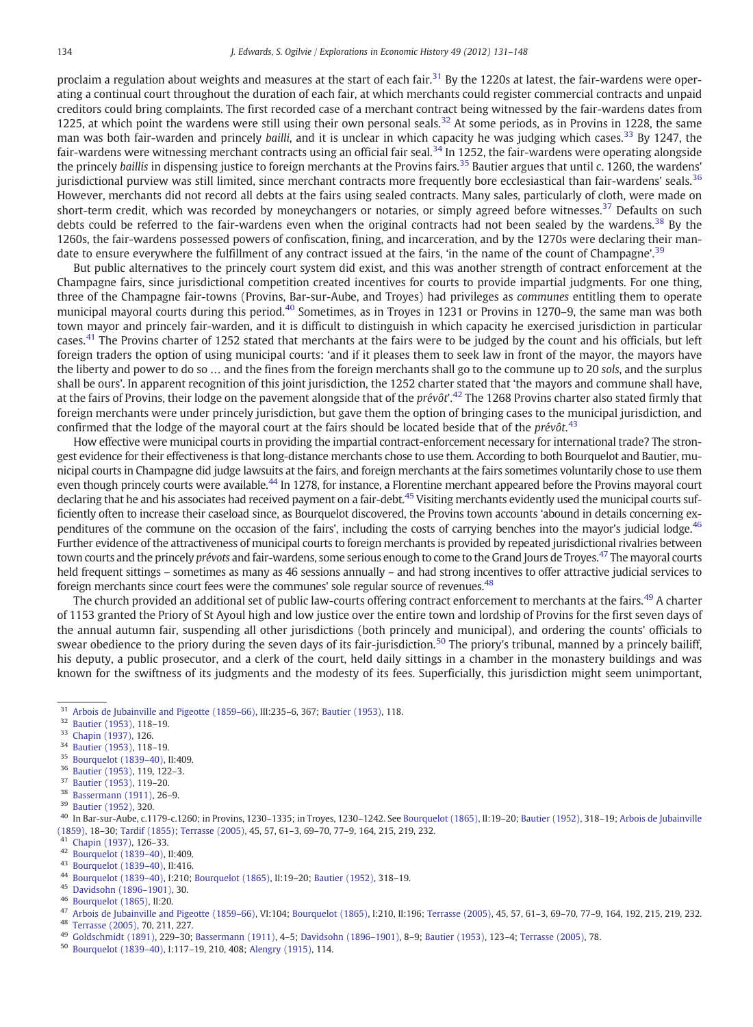proclaim a regulation about weights and measures at the start of each fair.<sup>31</sup> By the 1220s at latest, the fair-wardens were operating a continual court throughout the duration of each fair, at which merchants could register commercial contracts and unpaid creditors could bring complaints. The first recorded case of a merchant contract being witnessed by the fair-wardens dates from 1225, at which point the wardens were still using their own personal seals.<sup>32</sup> At some periods, as in Provins in 1228, the same man was both fair-warden and princely bailli, and it is unclear in which capacity he was judging which cases. $33$  By 1247, the fair-wardens were witnessing merchant contracts using an official fair seal.<sup>34</sup> In 1252, the fair-wardens were operating alongside the princely baillis in dispensing justice to foreign merchants at the Provins fairs.<sup>35</sup> Bautier argues that until c. 1260, the wardens' jurisdictional purview was still limited, since merchant contracts more frequently bore ecclesiastical than fair-wardens' seals.<sup>36</sup> However, merchants did not record all debts at the fairs using sealed contracts. Many sales, particularly of cloth, were made on short-term credit, which was recorded by moneychangers or notaries, or simply agreed before witnesses.<sup>37</sup> Defaults on such debts could be referred to the fair-wardens even when the original contracts had not been sealed by the wardens.<sup>38</sup> By the 1260s, the fair-wardens possessed powers of confiscation, fining, and incarceration, and by the 1270s were declaring their mandate to ensure everywhere the fulfillment of any contract issued at the fairs, 'in the name of the count of Champagne'.<sup>39</sup>

But public alternatives to the princely court system did exist, and this was another strength of contract enforcement at the Champagne fairs, since jurisdictional competition created incentives for courts to provide impartial judgments. For one thing, three of the Champagne fair-towns (Provins, Bar-sur-Aube, and Troyes) had privileges as communes entitling them to operate municipal mayoral courts during this period.<sup>40</sup> Sometimes, as in Troves in 1231 or Provins in 1270–9, the same man was both town mayor and princely fair-warden, and it is difficult to distinguish in which capacity he exercised jurisdiction in particular cases.<sup>41</sup> The Provins charter of 1252 stated that merchants at the fairs were to be judged by the count and his officials, but left foreign traders the option of using municipal courts: 'and if it pleases them to seek law in front of the mayor, the mayors have the liberty and power to do so … and the fines from the foreign merchants shall go to the commune up to 20 sols, and the surplus shall be ours'. In apparent recognition of this joint jurisdiction, the 1252 charter stated that 'the mayors and commune shall have, at the fairs of Provins, their lodge on the pavement alongside that of the prévôt'.<sup>42</sup> The 1268 Provins charter also stated firmly that foreign merchants were under princely jurisdiction, but gave them the option of bringing cases to the municipal jurisdiction, and confirmed that the lodge of the mayoral court at the fairs should be located beside that of the  $\text{pr\'ev\'o}t$ <sup>43</sup>

How effective were municipal courts in providing the impartial contract-enforcement necessary for international trade? The strongest evidence for their effectiveness is that long-distance merchants chose to use them. According to both Bourquelot and Bautier, municipal courts in Champagne did judge lawsuits at the fairs, and foreign merchants at the fairs sometimes voluntarily chose to use them even though princely courts were available.<sup>44</sup> In 1278, for instance, a Florentine merchant appeared before the Provins mayoral court declaring that he and his associates had received payment on a fair-debt.<sup>45</sup> Visiting merchants evidently used the municipal courts sufficiently often to increase their caseload since, as Bourquelot discovered, the Provins town accounts 'abound in details concerning expenditures of the commune on the occasion of the fairs', including the costs of carrying benches into the mayor's judicial lodge.<sup>46</sup> Further evidence of the attractiveness of municipal courts to foreign merchants is provided by repeated jurisdictional rivalries between town courts and the princely *prévots* and fair-wardens, some serious enough to come to the Grand Jours de Troyes.<sup>47</sup> The mayoral courts held frequent sittings – sometimes as many as 46 sessions annually – and had strong incentives to offer attractive judicial services to foreign merchants since court fees were the communes' sole regular source of revenues.<sup>48</sup>

The church provided an additional set of public law-courts offering contract enforcement to merchants at the fairs.<sup>49</sup> A charter of 1153 granted the Priory of St Ayoul high and low justice over the entire town and lordship of Provins for the first seven days of the annual autumn fair, suspending all other jurisdictions (both princely and municipal), and ordering the counts' officials to swear obedience to the priory during the seven days of its fair-jurisdiction.<sup>50</sup> The priory's tribunal, manned by a princely bailiff, his deputy, a public prosecutor, and a clerk of the court, held daily sittings in a chamber in the monastery buildings and was known for the swiftness of its judgments and the modesty of its fees. Superficially, this jurisdiction might seem unimportant,

- <sup>34</sup> [Bautier \(1953\),](#page-16-0) 118–19.
- <sup>35</sup> [Bourquelot \(1839](#page-16-0)–40), II:409.
- <sup>36</sup> [Bautier \(1953\),](#page-16-0) 119, 122–3.
- <sup>37</sup> [Bautier \(1953\),](#page-16-0) 119–20.
- <sup>38</sup> [Bassermann \(1911\)](#page-15-0), 26–9.
- <sup>39</sup> [Bautier \(1952\),](#page-16-0) 320.

<sup>40</sup> In Bar-sur-Aube, c.1179-c.1260; in Provins, 1230–1335; in Troyes, 1230–1242. See [Bourquelot \(1865\),](#page-16-0) II:19–20; [Bautier \(1952\)](#page-16-0), 318–19; [Arbois de Jubainville](#page-15-0) [\(1859\),](#page-15-0) 18–30; [Tardif \(1855\)](#page-16-0); [Terrasse \(2005\),](#page-16-0) 45, 57, 61–3, 69–70, 77–9, 164, 215, 219, 232.

- <sup>41</sup> [Chapin \(1937\)](#page-16-0), 126–33.
- <sup>42</sup> [Bourquelot \(1839](#page-16-0)–40), II:409.
- <sup>43</sup> [Bourquelot \(1839](#page-16-0)–40), II:416.
- <sup>44</sup> [Bourquelot \(1839](#page-16-0)–40), I:210; [Bourquelot \(1865\)](#page-16-0), II:19–20; [Bautier \(1952\)](#page-16-0), 318–19.
- <sup>45</sup> [Davidsohn \(1896](#page-16-0)–1901), 30.
- <sup>46</sup> [Bourquelot \(1865\)](#page-16-0), II:20.
- <sup>47</sup> [Arbois de Jubainville and Pigeotte \(1859](#page-15-0)–66), VI:104; [Bourquelot \(1865\),](#page-16-0) I:210, II:196; [Terrasse \(2005\)](#page-16-0), 45, 57, 61–3, 69–70, 77–9, 164, 192, 215, 219, 232.
- <sup>48</sup> [Terrasse \(2005\)](#page-16-0), 70, 211, 227.

<sup>50</sup> [Bourquelot \(1839](#page-16-0)–40), I:117–19, 210, 408; [Alengry \(1915\)](#page-15-0), 114.

<sup>31</sup> [Arbois de Jubainville and Pigeotte \(1859](#page-15-0)–66), III:235–6, 367; [Bautier \(1953\),](#page-16-0) 118.

<sup>32</sup> [Bautier \(1953\),](#page-16-0) 118–19.

<sup>33</sup> [Chapin \(1937\)](#page-16-0), 126.

<sup>49</sup> [Goldschmidt \(1891\)](#page-16-0), 229–30; [Bassermann \(1911\),](#page-15-0) 4–5; [Davidsohn \(1896](#page-16-0)–1901), 8–9; [Bautier \(1953\)](#page-16-0), 123–4; [Terrasse \(2005\)](#page-16-0), 78.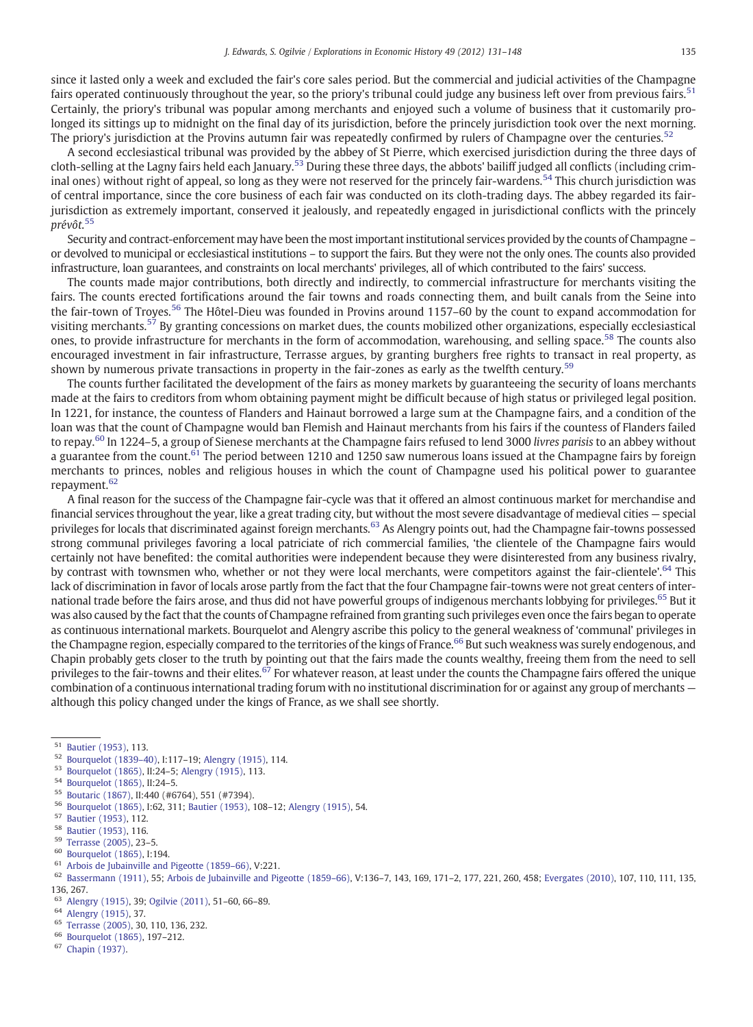since it lasted only a week and excluded the fair's core sales period. But the commercial and judicial activities of the Champagne fairs operated continuously throughout the year, so the priory's tribunal could judge any business left over from previous fairs.<sup>51</sup> Certainly, the priory's tribunal was popular among merchants and enjoyed such a volume of business that it customarily prolonged its sittings up to midnight on the final day of its jurisdiction, before the princely jurisdiction took over the next morning. The priory's jurisdiction at the Provins autumn fair was repeatedly confirmed by rulers of Champagne over the centuries.<sup>52</sup>

A second ecclesiastical tribunal was provided by the abbey of St Pierre, which exercised jurisdiction during the three days of cloth-selling at the Lagny fairs held each January.<sup>53</sup> During these three days, the abbots' bailiff judged all conflicts (including criminal ones) without right of appeal, so long as they were not reserved for the princely fair-wardens.<sup>54</sup> This church jurisdiction was of central importance, since the core business of each fair was conducted on its cloth-trading days. The abbey regarded its fairjurisdiction as extremely important, conserved it jealously, and repeatedly engaged in jurisdictional conflicts with the princely prévôt. 55

Security and contract-enforcement may have been the most important institutional services provided by the counts of Champagne – or devolved to municipal or ecclesiastical institutions – to support the fairs. But they were not the only ones. The counts also provided infrastructure, loan guarantees, and constraints on local merchants' privileges, all of which contributed to the fairs' success.

The counts made major contributions, both directly and indirectly, to commercial infrastructure for merchants visiting the fairs. The counts erected fortifications around the fair towns and roads connecting them, and built canals from the Seine into the fair-town of Troves.<sup>56</sup> The Hôtel-Dieu was founded in Provins around 1157–60 by the count to expand accommodation for visiting merchants.<sup>57</sup> By granting concessions on market dues, the counts mobilized other organizations, especially ecclesiastical ones, to provide infrastructure for merchants in the form of accommodation, warehousing, and selling space.<sup>58</sup> The counts also encouraged investment in fair infrastructure, Terrasse argues, by granting burghers free rights to transact in real property, as shown by numerous private transactions in property in the fair-zones as early as the twelfth century.<sup>59</sup>

The counts further facilitated the development of the fairs as money markets by guaranteeing the security of loans merchants made at the fairs to creditors from whom obtaining payment might be difficult because of high status or privileged legal position. In 1221, for instance, the countess of Flanders and Hainaut borrowed a large sum at the Champagne fairs, and a condition of the loan was that the count of Champagne would ban Flemish and Hainaut merchants from his fairs if the countess of Flanders failed to repay.<sup>60</sup> In 1224–5, a group of Sienese merchants at the Champagne fairs refused to lend 3000 livres parisis to an abbey without a guarantee from the count.<sup>61</sup> The period between 1210 and 1250 saw numerous loans issued at the Champagne fairs by foreign merchants to princes, nobles and religious houses in which the count of Champagne used his political power to guarantee repayment.<sup>62</sup>

A final reason for the success of the Champagne fair-cycle was that it offered an almost continuous market for merchandise and financial services throughout the year, like a great trading city, but without the most severe disadvantage of medieval cities — special privileges for locals that discriminated against foreign merchants.<sup>63</sup> As Alengry points out, had the Champagne fair-towns possessed strong communal privileges favoring a local patriciate of rich commercial families, 'the clientele of the Champagne fairs would certainly not have benefited: the comital authorities were independent because they were disinterested from any business rivalry, by contrast with townsmen who, whether or not they were local merchants, were competitors against the fair-clientele'.<sup>64</sup> This lack of discrimination in favor of locals arose partly from the fact that the four Champagne fair-towns were not great centers of international trade before the fairs arose, and thus did not have powerful groups of indigenous merchants lobbying for privileges.<sup>65</sup> But it was also caused by the fact that the counts of Champagne refrained from granting such privileges even once the fairs began to operate as continuous international markets. Bourquelot and Alengry ascribe this policy to the general weakness of 'communal' privileges in the Champagne region, especially compared to the territories of the kings of France.<sup>66</sup> But such weakness was surely endogenous, and Chapin probably gets closer to the truth by pointing out that the fairs made the counts wealthy, freeing them from the need to sell privileges to the fair-towns and their elites.<sup>67</sup> For whatever reason, at least under the counts the Champagne fairs offered the unique combination of a continuous international trading forum with no institutional discrimination for or against any group of merchants although this policy changed under the kings of France, as we shall see shortly.

<sup>53</sup> [Bourquelot \(1865\),](#page-16-0) II:24–5; [Alengry \(1915\),](#page-15-0) 113.<br><sup>54</sup> Bourguelot (1865), IU:24–5.

<sup>55</sup> [Boutaric \(1867\),](#page-16-0) II:440 (#6764), 551 (#7394).

[Bautier \(1953\)](#page-16-0), 116.

<sup>61</sup> [Arbois de Jubainville and Pigeotte \(1859](#page-15-0)–66), V:221.

<sup>62</sup> [Bassermann \(1911\),](#page-15-0) 55; [Arbois de Jubainville and Pigeotte \(1859](#page-15-0)–66), V:136–7, 143, 169, 171–2, 177, 221, 260, 458; [Evergates \(2010\),](#page-16-0) 107, 110, 111, 135, 136, 267.

<sup>51</sup> [Bautier \(1953\)](#page-16-0), 113.

<sup>52</sup> [Bourquelot \(1839](#page-16-0)–40), I:117–19; [Alengry \(1915\)](#page-15-0), 114.

<sup>&</sup>lt;sup>54</sup> [Bourquelot \(1865\),](#page-16-0) II:24-5.

<sup>56</sup> [Bourquelot \(1865\),](#page-16-0) I:62, 311; [Bautier \(1953\)](#page-16-0), 108–12; [Alengry \(1915\),](#page-15-0) 54.

 $\frac{57}{58}$  [Bautier \(1953\)](#page-16-0), 112.

<sup>59</sup> [Terrasse \(2005\),](#page-16-0) 23–5.

<sup>60</sup> [Bourquelot \(1865\),](#page-16-0) I:194.

<sup>63</sup> [Alengry \(1915\)](#page-15-0), 39; [Ogilvie \(2011\),](#page-16-0) 51–60, 66–89.

<sup>64</sup> [Alengry \(1915\)](#page-15-0), 37.

<sup>65</sup> [Terrasse \(2005\),](#page-16-0) 30, 110, 136, 232.

<sup>66</sup> [Bourquelot \(1865\),](#page-16-0) 197–212.

<sup>67</sup> [Chapin \(1937\).](#page-16-0)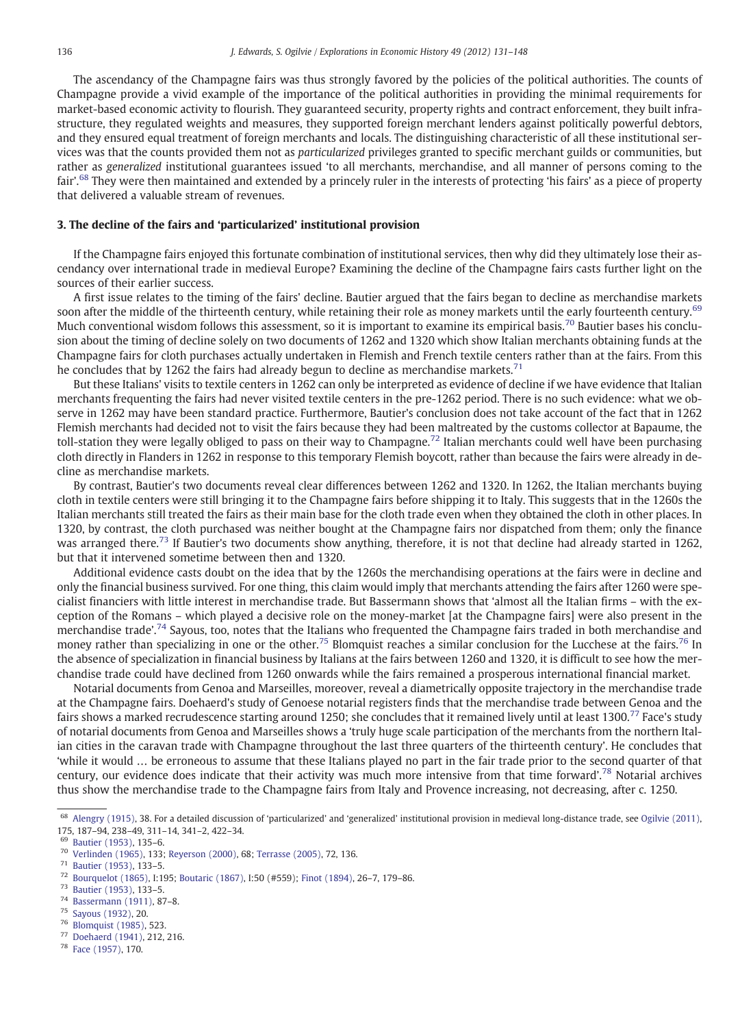The ascendancy of the Champagne fairs was thus strongly favored by the policies of the political authorities. The counts of Champagne provide a vivid example of the importance of the political authorities in providing the minimal requirements for market-based economic activity to flourish. They guaranteed security, property rights and contract enforcement, they built infrastructure, they regulated weights and measures, they supported foreign merchant lenders against politically powerful debtors, and they ensured equal treatment of foreign merchants and locals. The distinguishing characteristic of all these institutional services was that the counts provided them not as particularized privileges granted to specific merchant guilds or communities, but rather as generalized institutional guarantees issued 'to all merchants, merchandise, and all manner of persons coming to the fair'.<sup>68</sup> They were then maintained and extended by a princely ruler in the interests of protecting 'his fairs' as a piece of property that delivered a valuable stream of revenues.

#### 3. The decline of the fairs and 'particularized' institutional provision

If the Champagne fairs enjoyed this fortunate combination of institutional services, then why did they ultimately lose their ascendancy over international trade in medieval Europe? Examining the decline of the Champagne fairs casts further light on the sources of their earlier success.

A first issue relates to the timing of the fairs' decline. Bautier argued that the fairs began to decline as merchandise markets soon after the middle of the thirteenth century, while retaining their role as money markets until the early fourteenth century.<sup>69</sup> Much conventional wisdom follows this assessment, so it is important to examine its empirical basis.<sup>70</sup> Bautier bases his conclusion about the timing of decline solely on two documents of 1262 and 1320 which show Italian merchants obtaining funds at the Champagne fairs for cloth purchases actually undertaken in Flemish and French textile centers rather than at the fairs. From this he concludes that by 1262 the fairs had already begun to decline as merchandise markets.<sup>71</sup>

But these Italians' visits to textile centers in 1262 can only be interpreted as evidence of decline if we have evidence that Italian merchants frequenting the fairs had never visited textile centers in the pre-1262 period. There is no such evidence: what we observe in 1262 may have been standard practice. Furthermore, Bautier's conclusion does not take account of the fact that in 1262 Flemish merchants had decided not to visit the fairs because they had been maltreated by the customs collector at Bapaume, the toll-station they were legally obliged to pass on their way to Champagne.<sup>72</sup> Italian merchants could well have been purchasing cloth directly in Flanders in 1262 in response to this temporary Flemish boycott, rather than because the fairs were already in decline as merchandise markets.

By contrast, Bautier's two documents reveal clear differences between 1262 and 1320. In 1262, the Italian merchants buying cloth in textile centers were still bringing it to the Champagne fairs before shipping it to Italy. This suggests that in the 1260s the Italian merchants still treated the fairs as their main base for the cloth trade even when they obtained the cloth in other places. In 1320, by contrast, the cloth purchased was neither bought at the Champagne fairs nor dispatched from them; only the finance was arranged there.<sup>73</sup> If Bautier's two documents show anything, therefore, it is not that decline had already started in 1262, but that it intervened sometime between then and 1320.

Additional evidence casts doubt on the idea that by the 1260s the merchandising operations at the fairs were in decline and only the financial business survived. For one thing, this claim would imply that merchants attending the fairs after 1260 were specialist financiers with little interest in merchandise trade. But Bassermann shows that 'almost all the Italian firms – with the exception of the Romans – which played a decisive role on the money-market [at the Champagne fairs] were also present in the merchandise trade'.<sup>74</sup> Sayous, too, notes that the Italians who frequented the Champagne fairs traded in both merchandise and money rather than specializing in one or the other.<sup>75</sup> Blomquist reaches a similar conclusion for the Lucchese at the fairs.<sup>76</sup> In the absence of specialization in financial business by Italians at the fairs between 1260 and 1320, it is difficult to see how the merchandise trade could have declined from 1260 onwards while the fairs remained a prosperous international financial market.

Notarial documents from Genoa and Marseilles, moreover, reveal a diametrically opposite trajectory in the merchandise trade at the Champagne fairs. Doehaerd's study of Genoese notarial registers finds that the merchandise trade between Genoa and the fairs shows a marked recrudescence starting around 1250; she concludes that it remained lively until at least 1300.<sup>77</sup> Face's study of notarial documents from Genoa and Marseilles shows a 'truly huge scale participation of the merchants from the northern Italian cities in the caravan trade with Champagne throughout the last three quarters of the thirteenth century'. He concludes that 'while it would … be erroneous to assume that these Italians played no part in the fair trade prior to the second quarter of that century, our evidence does indicate that their activity was much more intensive from that time forward'.<sup>78</sup> Notarial archives thus show the merchandise trade to the Champagne fairs from Italy and Provence increasing, not decreasing, after c. 1250.

- <sup>75</sup> [Sayous \(1932\)](#page-16-0), 20.
- <sup>76</sup> [Blomquist \(1985\)](#page-16-0), 523.
- <sup>77</sup> [Doehaerd \(1941\)](#page-16-0), 212, 216.
- <sup>78</sup> [Face \(1957\),](#page-16-0) 170.

<sup>&</sup>lt;sup>68</sup> [Alengry \(1915\),](#page-15-0) 38. For a detailed discussion of 'particularized' and 'generalized' institutional provision in medieval long-distance trade, see Ogilvie (2011). 175, 187–94, 238–49, 311–14, 341–2, 422–34.

<sup>69</sup> [Bautier \(1953\),](#page-16-0) 135–6.

<sup>70</sup> [Verlinden \(1965\),](#page-17-0) 133; [Reyerson \(2000\),](#page-16-0) 68; [Terrasse \(2005\)](#page-16-0), 72, 136.

<sup>71</sup> [Bautier \(1953\),](#page-16-0) 133–5.

<sup>72</sup> [Bourquelot \(1865\)](#page-16-0), I:195; [Boutaric \(1867\)](#page-16-0), I:50 (#559); [Finot \(1894\),](#page-16-0) 26–7, 179–86.

<sup>73</sup> [Bautier \(1953\),](#page-16-0) 133–5.

<sup>74</sup> [Bassermann \(1911\)](#page-15-0), 87–8.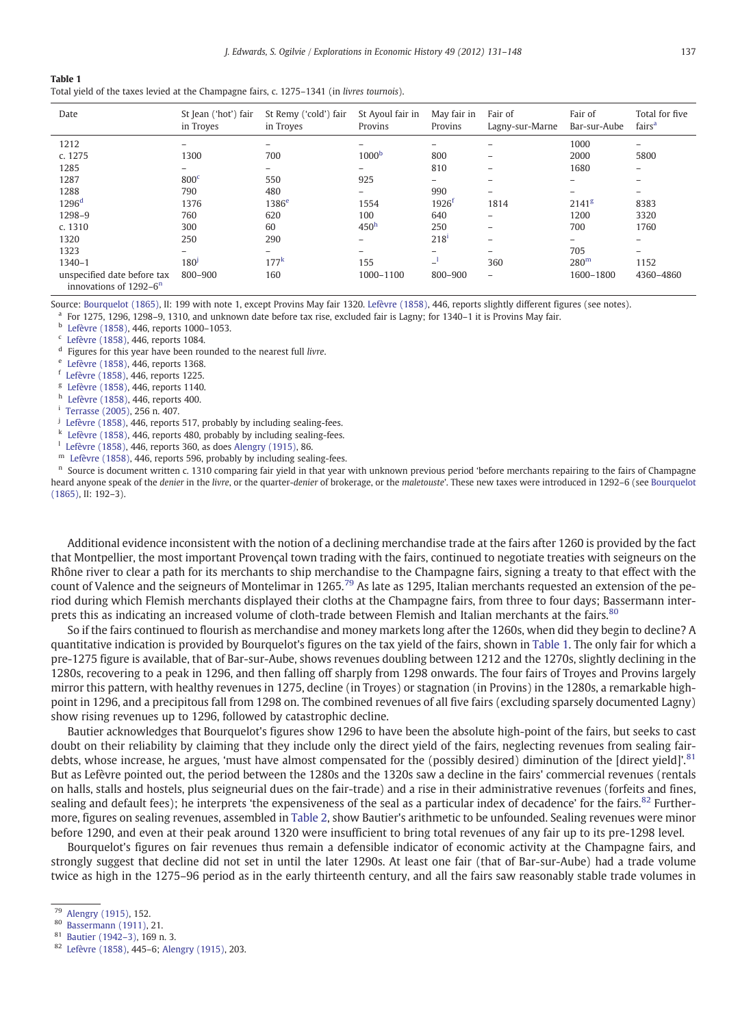<span id="page-6-0"></span>

| ۰. |  |  |  |
|----|--|--|--|
|----|--|--|--|

Total yield of the taxes levied at the Champagne fairs, c. 1275–1341 (in livres tournois).

| Date                                                    | St Jean ('hot') fair<br>in Troyes | St Remy ('cold') fair<br>in Troves | St Ayoul fair in<br>Provins | May fair in<br>Provins   | Fair of<br>Lagny-sur-Marne | Fair of<br>Bar-sur-Aube | Total for five<br>fairs <sup>a</sup> |
|---------------------------------------------------------|-----------------------------------|------------------------------------|-----------------------------|--------------------------|----------------------------|-------------------------|--------------------------------------|
| 1212                                                    | -                                 | -                                  | -                           |                          |                            | 1000                    | $\overline{\phantom{0}}$             |
| c. 1275                                                 | 1300                              | 700                                | 1000 <sup>b</sup>           | 800                      | -                          | 2000                    | 5800                                 |
| 1285                                                    |                                   | -                                  |                             | 810                      |                            | 1680                    | $\overline{\phantom{0}}$             |
| 1287                                                    | 800 <sup>c</sup>                  | 550                                | 925                         | -                        |                            | -                       | $\overline{\phantom{0}}$             |
| 1288                                                    | 790                               | 480                                | $-$                         | 990                      | $\qquad \qquad$            | -                       | $\overline{\phantom{0}}$             |
| 1296 <sup>d</sup>                                       | 1376                              | 1386 <sup>e</sup>                  | 1554                        | 1926'                    | 1814                       | 2141 <sup>g</sup>       | 8383                                 |
| 1298-9                                                  | 760                               | 620                                | 100                         | 640                      | -                          | 1200                    | 3320                                 |
| c. 1310                                                 | 300                               | 60                                 | 450 <sup>h</sup>            | 250                      | $\qquad \qquad$            | 700                     | 1760                                 |
| 1320                                                    | 250                               | 290                                |                             | $218^{i}$                |                            | $\equiv$                | -                                    |
| 1323                                                    | -                                 | -                                  |                             | $\overline{\phantom{0}}$ |                            | 705                     | $\overline{\phantom{0}}$             |
| 1340-1                                                  | 180 <sup>j</sup>                  | 177 <sup>k</sup>                   | 155                         | $\Box$                   | 360                        | 280 <sup>m</sup>        | 1152                                 |
| unspecified date before tax<br>innovations of $1292-6n$ | 800-900                           | 160                                | 1000-1100                   | 800-900                  | $\overline{\phantom{0}}$   | 1600-1800               | 4360-4860                            |

Source: [Bourquelot \(1865\)](#page-16-0), II: 199 with note 1, except Provins May fair 1320. [Lefèvre \(1858\)](#page-16-0), 446, reports slightly different figures (see notes).

For 1275, 1296, 1298–9, 1310, and unknown date before tax rise, excluded fair is Lagny; for 1340–1 it is Provins May fair.

<sup>b</sup> [Lefèvre \(1858\)](#page-16-0), 446, reports 1000–1053.

 $c$  [Lefèvre \(1858\),](#page-16-0) 446, reports 1084.

<sup>d</sup> Figures for this year have been rounded to the nearest full livre.

[Lefèvre \(1858\)](#page-16-0), 446, reports 1368.

<sup>f</sup> [Lefèvre \(1858\)](#page-16-0), 446, reports 1225.

<sup>g</sup> [Lefèvre \(1858\)](#page-16-0), 446, reports 1140.

<sup>h</sup> [Lefèvre \(1858\)](#page-16-0), 446, reports 400.

<sup>i</sup> [Terrasse \(2005\),](#page-16-0) 256 n. 407.

 $j$  [Lefèvre \(1858\)](#page-16-0), 446, reports 517, probably by including sealing-fees.

<sup>k</sup> [Lefèvre \(1858\)](#page-16-0), 446, reports 480, probably by including sealing-fees.

<sup>l</sup> [Lefèvre \(1858\),](#page-16-0) 446, reports 360, as does [Alengry \(1915\)](#page-15-0), 86.

<sup>m</sup> [Lefèvre \(1858\),](#page-16-0) 446, reports 596, probably by including sealing-fees.

<sup>n</sup> Source is document written c. 1310 comparing fair yield in that year with unknown previous period 'before merchants repairing to the fairs of Champagne heard anyone speak of the denier in the livre, or the quarter-denier of brokerage, or the maletouste'. These new taxes were introduced in 1292-6 (see [Bourquelot](#page-16-0) [\(1865\)](#page-16-0), II: 192–3).

Additional evidence inconsistent with the notion of a declining merchandise trade at the fairs after 1260 is provided by the fact that Montpellier, the most important Provençal town trading with the fairs, continued to negotiate treaties with seigneurs on the Rhône river to clear a path for its merchants to ship merchandise to the Champagne fairs, signing a treaty to that effect with the count of Valence and the seigneurs of Montelimar in 1265.<sup>79</sup> As late as 1295, Italian merchants requested an extension of the period during which Flemish merchants displayed their cloths at the Champagne fairs, from three to four days; Bassermann interprets this as indicating an increased volume of cloth-trade between Flemish and Italian merchants at the fairs.<sup>80</sup>

So if the fairs continued to flourish as merchandise and money markets long after the 1260s, when did they begin to decline? A quantitative indication is provided by Bourquelot's figures on the tax yield of the fairs, shown in Table 1. The only fair for which a pre-1275 figure is available, that of Bar-sur-Aube, shows revenues doubling between 1212 and the 1270s, slightly declining in the 1280s, recovering to a peak in 1296, and then falling off sharply from 1298 onwards. The four fairs of Troyes and Provins largely mirror this pattern, with healthy revenues in 1275, decline (in Troyes) or stagnation (in Provins) in the 1280s, a remarkable highpoint in 1296, and a precipitous fall from 1298 on. The combined revenues of all five fairs (excluding sparsely documented Lagny) show rising revenues up to 1296, followed by catastrophic decline.

Bautier acknowledges that Bourquelot's figures show 1296 to have been the absolute high-point of the fairs, but seeks to cast doubt on their reliability by claiming that they include only the direct yield of the fairs, neglecting revenues from sealing fairdebts, whose increase, he argues, 'must have almost compensated for the (possibly desired) diminution of the [direct yield]'.<sup>81</sup> But as Lefèvre pointed out, the period between the 1280s and the 1320s saw a decline in the fairs' commercial revenues (rentals on halls, stalls and hostels, plus seigneurial dues on the fair-trade) and a rise in their administrative revenues (forfeits and fines, sealing and default fees); he interprets 'the expensiveness of the seal as a particular index of decadence' for the fairs.<sup>82</sup> Furthermore, figures on sealing revenues, assembled in [Table 2,](#page-7-0) show Bautier's arithmetic to be unfounded. Sealing revenues were minor before 1290, and even at their peak around 1320 were insufficient to bring total revenues of any fair up to its pre-1298 level.

Bourquelot's figures on fair revenues thus remain a defensible indicator of economic activity at the Champagne fairs, and strongly suggest that decline did not set in until the later 1290s. At least one fair (that of Bar-sur-Aube) had a trade volume twice as high in the 1275–96 period as in the early thirteenth century, and all the fairs saw reasonably stable trade volumes in

<sup>79</sup> [Alengry \(1915\)](#page-15-0), 152.

<sup>80</sup> [Bassermann \(1911\),](#page-15-0) 21.

<sup>81</sup> [Bautier \(1942](#page-15-0)–3), 169 n. 3.

<sup>82</sup> [Lefèvre \(1858\),](#page-16-0) 445–6; [Alengry \(1915\)](#page-15-0), 203.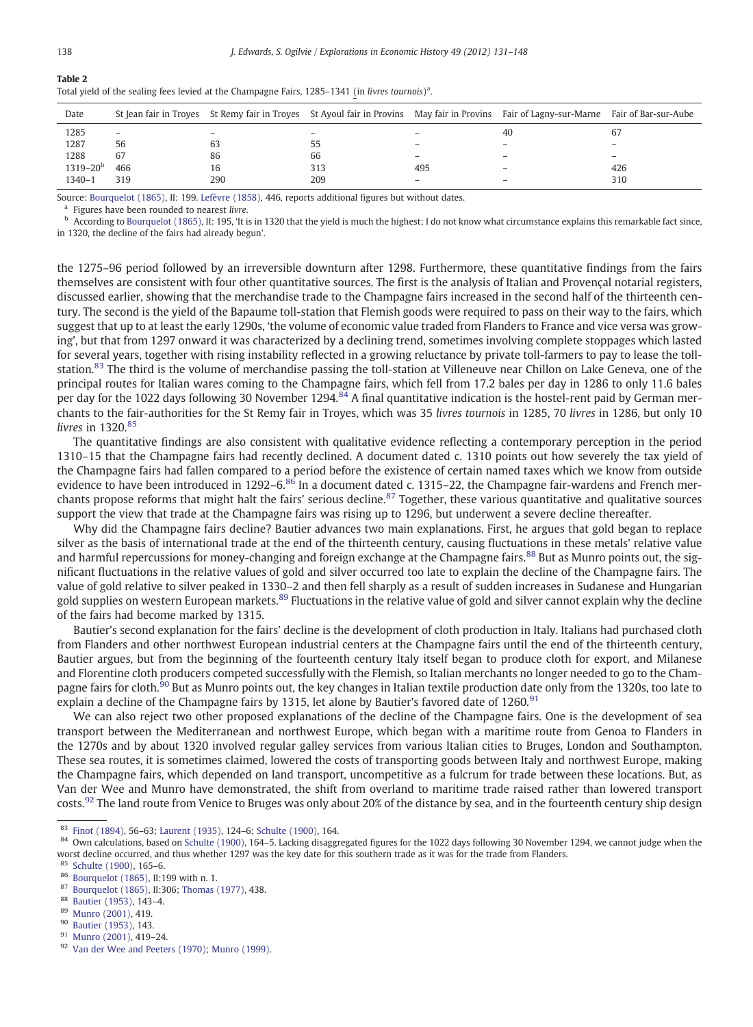|              |     |     | tal yield of the sealing fees levied at the Champagne Fairs, 1285–1341 (in livres tournois) <sup>a</sup> . |     |                                                                                                                                         |     |
|--------------|-----|-----|------------------------------------------------------------------------------------------------------------|-----|-----------------------------------------------------------------------------------------------------------------------------------------|-----|
| Date         |     |     |                                                                                                            |     | St Jean fair in Troyes St Remy fair in Troyes St Ayoul fair in Provins May fair in Provins Fair of Lagny-sur-Marne Fair of Bar-sur-Aube |     |
| 1285         |     |     |                                                                                                            |     | 40                                                                                                                                      |     |
| 1287         | 56  | 63  |                                                                                                            |     |                                                                                                                                         |     |
| 1288         | 67  | 86  | 66                                                                                                         |     |                                                                                                                                         |     |
| $1319 - 20b$ | 466 | 16  | 313                                                                                                        | 495 | $\qquad \qquad -$                                                                                                                       | 426 |
| $1340 - 1$   | 319 | 290 | 209                                                                                                        |     |                                                                                                                                         | 310 |
|              |     |     |                                                                                                            |     |                                                                                                                                         |     |

|  | Total yield of the sealing fees levied at the Champagne Fairs, 1285–1341 (in livres tournois) <sup>a</sup> |  |  |  |
|--|------------------------------------------------------------------------------------------------------------|--|--|--|
|--|------------------------------------------------------------------------------------------------------------|--|--|--|

Source: [Bourquelot \(1865\)](#page-16-0), II: 199. [Lefèvre \(1858\),](#page-16-0) 446, reports additional figures but without dates.

<sup>a</sup> Figures have been rounded to nearest livre.

 $^{\rm b}$  According to [Bourquelot \(1865\),](#page-16-0) II: 195, 'It is in 1320 that the yield is much the highest; I do not know what circumstance explains this remarkable fact since, in 1320, the decline of the fairs had already begun'.

the 1275–96 period followed by an irreversible downturn after 1298. Furthermore, these quantitative findings from the fairs themselves are consistent with four other quantitative sources. The first is the analysis of Italian and Provençal notarial registers, discussed earlier, showing that the merchandise trade to the Champagne fairs increased in the second half of the thirteenth century. The second is the yield of the Bapaume toll-station that Flemish goods were required to pass on their way to the fairs, which suggest that up to at least the early 1290s, 'the volume of economic value traded from Flanders to France and vice versa was growing', but that from 1297 onward it was characterized by a declining trend, sometimes involving complete stoppages which lasted for several years, together with rising instability reflected in a growing reluctance by private toll-farmers to pay to lease the tollstation.<sup>83</sup> The third is the volume of merchandise passing the toll-station at Villeneuve near Chillon on Lake Geneva, one of the principal routes for Italian wares coming to the Champagne fairs, which fell from 17.2 bales per day in 1286 to only 11.6 bales per day for the 1022 days following 30 November 1294.<sup>84</sup> A final quantitative indication is the hostel-rent paid by German merchants to the fair-authorities for the St Remy fair in Troyes, which was 35 livres tournois in 1285, 70 livres in 1286, but only 10 livres in 1320.<sup>85</sup>

The quantitative findings are also consistent with qualitative evidence reflecting a contemporary perception in the period 1310–15 that the Champagne fairs had recently declined. A document dated c. 1310 points out how severely the tax yield of the Champagne fairs had fallen compared to a period before the existence of certain named taxes which we know from outside evidence to have been introduced in 1292–6. $86$  In a document dated c. 1315–22, the Champagne fair-wardens and French merchants propose reforms that might halt the fairs' serious decline. $87$  Together, these various quantitative and qualitative sources support the view that trade at the Champagne fairs was rising up to 1296, but underwent a severe decline thereafter.

Why did the Champagne fairs decline? Bautier advances two main explanations. First, he argues that gold began to replace silver as the basis of international trade at the end of the thirteenth century, causing fluctuations in these metals' relative value and harmful repercussions for money-changing and foreign exchange at the Champagne fairs.<sup>88</sup> But as Munro points out, the significant fluctuations in the relative values of gold and silver occurred too late to explain the decline of the Champagne fairs. The value of gold relative to silver peaked in 1330–2 and then fell sharply as a result of sudden increases in Sudanese and Hungarian gold supplies on western European markets.<sup>89</sup> Fluctuations in the relative value of gold and silver cannot explain why the decline of the fairs had become marked by 1315.

Bautier's second explanation for the fairs' decline is the development of cloth production in Italy. Italians had purchased cloth from Flanders and other northwest European industrial centers at the Champagne fairs until the end of the thirteenth century, Bautier argues, but from the beginning of the fourteenth century Italy itself began to produce cloth for export, and Milanese and Florentine cloth producers competed successfully with the Flemish, so Italian merchants no longer needed to go to the Champagne fairs for cloth.<sup>90</sup> But as Munro points out, the key changes in Italian textile production date only from the 1320s, too late to explain a decline of the Champagne fairs by 1315, let alone by Bautier's favored date of 1260.<sup>91</sup>

We can also reject two other proposed explanations of the decline of the Champagne fairs. One is the development of sea transport between the Mediterranean and northwest Europe, which began with a maritime route from Genoa to Flanders in the 1270s and by about 1320 involved regular galley services from various Italian cities to Bruges, London and Southampton. These sea routes, it is sometimes claimed, lowered the costs of transporting goods between Italy and northwest Europe, making the Champagne fairs, which depended on land transport, uncompetitive as a fulcrum for trade between these locations. But, as Van der Wee and Munro have demonstrated, the shift from overland to maritime trade raised rather than lowered transport costs.<sup>92</sup> The land route from Venice to Bruges was only about 20% of the distance by sea, and in the fourteenth century ship design

<sup>89</sup> [Munro \(2001\),](#page-16-0) 419.

<span id="page-7-0"></span>Table 2

<sup>83</sup> [Finot \(1894\),](#page-16-0) 56–63; [Laurent \(1935\),](#page-16-0) 124–6; [Schulte \(1900\)](#page-16-0), 164.

<sup>84</sup> Own calculations, based on [Schulte \(1900\),](#page-16-0) 164–5. Lacking disaggregated figures for the 1022 days following 30 November 1294, we cannot judge when the worst decline occurred, and thus whether 1297 was the key date for this southern trade as it was for the trade from Flanders.

[Schulte \(1900\)](#page-16-0), 165-6.

<sup>86</sup> [Bourquelot \(1865\)](#page-16-0), II:199 with n. 1.

<sup>87</sup> [Bourquelot \(1865\)](#page-16-0), II:306; [Thomas \(1977\),](#page-16-0) 438.

<sup>88</sup> [Bautier \(1953\),](#page-16-0) 143–4.

<sup>90</sup> [Bautier \(1953\),](#page-16-0) 143.

<sup>91</sup> [Munro \(2001\),](#page-16-0) 419–24.

<sup>92</sup> [Van der Wee and Peeters \(1970\);](#page-17-0) [Munro \(1999\).](#page-16-0)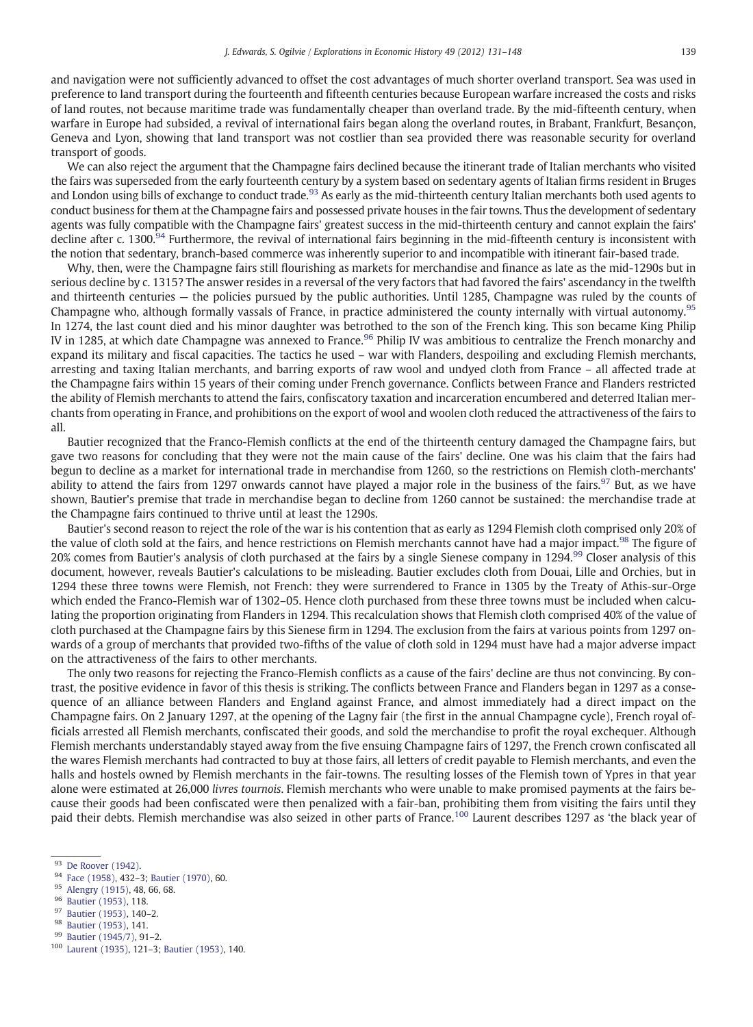and navigation were not sufficiently advanced to offset the cost advantages of much shorter overland transport. Sea was used in preference to land transport during the fourteenth and fifteenth centuries because European warfare increased the costs and risks of land routes, not because maritime trade was fundamentally cheaper than overland trade. By the mid-fifteenth century, when warfare in Europe had subsided, a revival of international fairs began along the overland routes, in Brabant, Frankfurt, Besançon, Geneva and Lyon, showing that land transport was not costlier than sea provided there was reasonable security for overland transport of goods.

We can also reject the argument that the Champagne fairs declined because the itinerant trade of Italian merchants who visited the fairs was superseded from the early fourteenth century by a system based on sedentary agents of Italian firms resident in Bruges and London using bills of exchange to conduct trade.<sup>93</sup> As early as the mid-thirteenth century Italian merchants both used agents to conduct business for them at the Champagne fairs and possessed private houses in the fair towns. Thus the development of sedentary agents was fully compatible with the Champagne fairs' greatest success in the mid-thirteenth century and cannot explain the fairs' decline after c. 1300.<sup>94</sup> Furthermore, the revival of international fairs beginning in the mid-fifteenth century is inconsistent with the notion that sedentary, branch-based commerce was inherently superior to and incompatible with itinerant fair-based trade.

Why, then, were the Champagne fairs still flourishing as markets for merchandise and finance as late as the mid-1290s but in serious decline by c. 1315? The answer resides in a reversal of the very factors that had favored the fairs' ascendancy in the twelfth and thirteenth centuries — the policies pursued by the public authorities. Until 1285, Champagne was ruled by the counts of Champagne who, although formally vassals of France, in practice administered the county internally with virtual autonomy.<sup>95</sup> In 1274, the last count died and his minor daughter was betrothed to the son of the French king. This son became King Philip IV in 1285, at which date Champagne was annexed to France.<sup>96</sup> Philip IV was ambitious to centralize the French monarchy and expand its military and fiscal capacities. The tactics he used – war with Flanders, despoiling and excluding Flemish merchants, arresting and taxing Italian merchants, and barring exports of raw wool and undyed cloth from France – all affected trade at the Champagne fairs within 15 years of their coming under French governance. Conflicts between France and Flanders restricted the ability of Flemish merchants to attend the fairs, confiscatory taxation and incarceration encumbered and deterred Italian merchants from operating in France, and prohibitions on the export of wool and woolen cloth reduced the attractiveness of the fairs to all.

Bautier recognized that the Franco-Flemish conflicts at the end of the thirteenth century damaged the Champagne fairs, but gave two reasons for concluding that they were not the main cause of the fairs' decline. One was his claim that the fairs had begun to decline as a market for international trade in merchandise from 1260, so the restrictions on Flemish cloth-merchants' ability to attend the fairs from 1297 onwards cannot have played a major role in the business of the fairs.<sup>97</sup> But, as we have shown, Bautier's premise that trade in merchandise began to decline from 1260 cannot be sustained: the merchandise trade at the Champagne fairs continued to thrive until at least the 1290s.

Bautier's second reason to reject the role of the war is his contention that as early as 1294 Flemish cloth comprised only 20% of the value of cloth sold at the fairs, and hence restrictions on Flemish merchants cannot have had a major impact.<sup>98</sup> The figure of 20% comes from Bautier's analysis of cloth purchased at the fairs by a single Sienese company in 1294.<sup>99</sup> Closer analysis of this document, however, reveals Bautier's calculations to be misleading. Bautier excludes cloth from Douai, Lille and Orchies, but in 1294 these three towns were Flemish, not French: they were surrendered to France in 1305 by the Treaty of Athis-sur-Orge which ended the Franco-Flemish war of 1302–05. Hence cloth purchased from these three towns must be included when calculating the proportion originating from Flanders in 1294. This recalculation shows that Flemish cloth comprised 40% of the value of cloth purchased at the Champagne fairs by this Sienese firm in 1294. The exclusion from the fairs at various points from 1297 onwards of a group of merchants that provided two-fifths of the value of cloth sold in 1294 must have had a major adverse impact on the attractiveness of the fairs to other merchants.

The only two reasons for rejecting the Franco-Flemish conflicts as a cause of the fairs' decline are thus not convincing. By contrast, the positive evidence in favor of this thesis is striking. The conflicts between France and Flanders began in 1297 as a consequence of an alliance between Flanders and England against France, and almost immediately had a direct impact on the Champagne fairs. On 2 January 1297, at the opening of the Lagny fair (the first in the annual Champagne cycle), French royal officials arrested all Flemish merchants, confiscated their goods, and sold the merchandise to profit the royal exchequer. Although Flemish merchants understandably stayed away from the five ensuing Champagne fairs of 1297, the French crown confiscated all the wares Flemish merchants had contracted to buy at those fairs, all letters of credit payable to Flemish merchants, and even the halls and hostels owned by Flemish merchants in the fair-towns. The resulting losses of the Flemish town of Ypres in that year alone were estimated at 26,000 livres tournois. Flemish merchants who were unable to make promised payments at the fairs because their goods had been confiscated were then penalized with a fair-ban, prohibiting them from visiting the fairs until they paid their debts. Flemish merchandise was also seized in other parts of France.<sup>100</sup> Laurent describes 1297 as 'the black year of

<sup>93</sup> [De Roover \(1942\).](#page-16-0)

<sup>94</sup> [Face \(1958\)](#page-16-0), 432–3; [Bautier \(1970\)](#page-16-0), 60.

<sup>95</sup> [Alengry \(1915\)](#page-15-0), 48, 66, 68.

<sup>96</sup> [Bautier \(1953\)](#page-16-0), 118.

 $^{97}$  [Bautier \(1953\)](#page-16-0), 140–2.

[Bautier \(1953\)](#page-16-0), 141.

<sup>99</sup> [Bautier \(1945/7\)](#page-16-0), 91–2.

<sup>100</sup> [Laurent \(1935\),](#page-16-0) 121–3; [Bautier \(1953\),](#page-16-0) 140.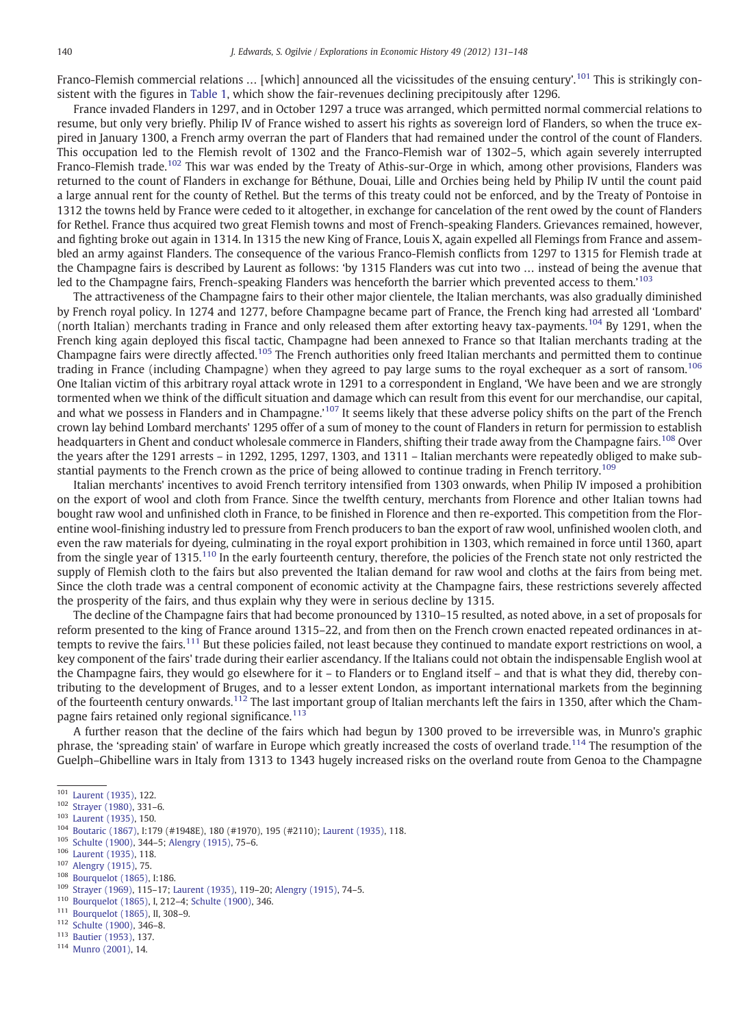Franco-Flemish commercial relations ... [which] announced all the vicissitudes of the ensuing century'.<sup>101</sup> This is strikingly consistent with the figures in [Table 1](#page-6-0), which show the fair-revenues declining precipitously after 1296.

France invaded Flanders in 1297, and in October 1297 a truce was arranged, which permitted normal commercial relations to resume, but only very briefly. Philip IV of France wished to assert his rights as sovereign lord of Flanders, so when the truce expired in January 1300, a French army overran the part of Flanders that had remained under the control of the count of Flanders. This occupation led to the Flemish revolt of 1302 and the Franco-Flemish war of 1302–5, which again severely interrupted Franco-Flemish trade.<sup>102</sup> This war was ended by the Treaty of Athis-sur-Orge in which, among other provisions, Flanders was returned to the count of Flanders in exchange for Béthune, Douai, Lille and Orchies being held by Philip IV until the count paid a large annual rent for the county of Rethel. But the terms of this treaty could not be enforced, and by the Treaty of Pontoise in 1312 the towns held by France were ceded to it altogether, in exchange for cancelation of the rent owed by the count of Flanders for Rethel. France thus acquired two great Flemish towns and most of French-speaking Flanders. Grievances remained, however, and fighting broke out again in 1314. In 1315 the new King of France, Louis X, again expelled all Flemings from France and assembled an army against Flanders. The consequence of the various Franco-Flemish conflicts from 1297 to 1315 for Flemish trade at the Champagne fairs is described by Laurent as follows: 'by 1315 Flanders was cut into two … instead of being the avenue that led to the Champagne fairs, French-speaking Flanders was henceforth the barrier which prevented access to them.<sup>'103</sup>

The attractiveness of the Champagne fairs to their other major clientele, the Italian merchants, was also gradually diminished by French royal policy. In 1274 and 1277, before Champagne became part of France, the French king had arrested all 'Lombard' (north Italian) merchants trading in France and only released them after extorting heavy tax-payments.<sup>104</sup> By 1291, when the French king again deployed this fiscal tactic, Champagne had been annexed to France so that Italian merchants trading at the Champagne fairs were directly affected.<sup>105</sup> The French authorities only freed Italian merchants and permitted them to continue trading in France (including Champagne) when they agreed to pay large sums to the royal exchequer as a sort of ransom.<sup>106</sup> One Italian victim of this arbitrary royal attack wrote in 1291 to a correspondent in England, 'We have been and we are strongly tormented when we think of the difficult situation and damage which can result from this event for our merchandise, our capital, and what we possess in Flanders and in Champagne.'<sup>107</sup> It seems likely that these adverse policy shifts on the part of the French crown lay behind Lombard merchants' 1295 offer of a sum of money to the count of Flanders in return for permission to establish headquarters in Ghent and conduct wholesale commerce in Flanders, shifting their trade away from the Champagne fairs.<sup>108</sup> Over the years after the 1291 arrests – in 1292, 1295, 1297, 1303, and 1311 – Italian merchants were repeatedly obliged to make substantial payments to the French crown as the price of being allowed to continue trading in French territory.<sup>109</sup>

Italian merchants' incentives to avoid French territory intensified from 1303 onwards, when Philip IV imposed a prohibition on the export of wool and cloth from France. Since the twelfth century, merchants from Florence and other Italian towns had bought raw wool and unfinished cloth in France, to be finished in Florence and then re-exported. This competition from the Florentine wool-finishing industry led to pressure from French producers to ban the export of raw wool, unfinished woolen cloth, and even the raw materials for dyeing, culminating in the royal export prohibition in 1303, which remained in force until 1360, apart from the single year of 1315.<sup>110</sup> In the early fourteenth century, therefore, the policies of the French state not only restricted the supply of Flemish cloth to the fairs but also prevented the Italian demand for raw wool and cloths at the fairs from being met. Since the cloth trade was a central component of economic activity at the Champagne fairs, these restrictions severely affected the prosperity of the fairs, and thus explain why they were in serious decline by 1315.

The decline of the Champagne fairs that had become pronounced by 1310–15 resulted, as noted above, in a set of proposals for reform presented to the king of France around 1315–22, and from then on the French crown enacted repeated ordinances in attempts to revive the fairs.<sup>111</sup> But these policies failed, not least because they continued to mandate export restrictions on wool, a key component of the fairs' trade during their earlier ascendancy. If the Italians could not obtain the indispensable English wool at the Champagne fairs, they would go elsewhere for it – to Flanders or to England itself – and that is what they did, thereby contributing to the development of Bruges, and to a lesser extent London, as important international markets from the beginning of the fourteenth century onwards.<sup>112</sup> The last important group of Italian merchants left the fairs in 1350, after which the Champagne fairs retained only regional significance.<sup>113</sup>

A further reason that the decline of the fairs which had begun by 1300 proved to be irreversible was, in Munro's graphic phrase, the 'spreading stain' of warfare in Europe which greatly increased the costs of overland trade.<sup>114</sup> The resumption of the Guelph–Ghibelline wars in Italy from 1313 to 1343 hugely increased risks on the overland route from Genoa to the Champagne

- <sup>105</sup> [Schulte \(1900\)](#page-16-0), 344–5; [Alengry \(1915\),](#page-15-0) 75–6.
- <sup>106</sup> [Laurent \(1935\)](#page-16-0), 118.
- $107$  [Alengry \(1915\),](#page-15-0) 75.
- [Bourquelot \(1865\)](#page-16-0), I:186.

- <sup>110</sup> [Bourquelot \(1865\)](#page-16-0), I, 212–4; [Schulte \(1900\),](#page-16-0) 346.<br><sup>111</sup> Bourguelot (1865), II, 208, 0
- [Bourquelot \(1865\)](#page-16-0), II, 308-9.
- <sup>112</sup> [Schulte \(1900\)](#page-16-0), 346–8.
- <sup>113</sup> [Bautier \(1953\),](#page-16-0) 137.

<sup>114</sup> [Munro \(2001\),](#page-16-0) 14.

<sup>101</sup> [Laurent \(1935\)](#page-16-0), 122.

<sup>102</sup> [Strayer \(1980\),](#page-16-0) 331–6.

<sup>103</sup> [Laurent \(1935\)](#page-16-0), 150.

<sup>104</sup> [Boutaric \(1867\)](#page-16-0), I:179 (#1948E), 180 (#1970), 195 (#2110); [Laurent \(1935\),](#page-16-0) 118.

<sup>109</sup> [Strayer \(1969\),](#page-16-0) 115–17; [Laurent \(1935\),](#page-16-0) 119–20; [Alengry \(1915\),](#page-15-0) 74–5.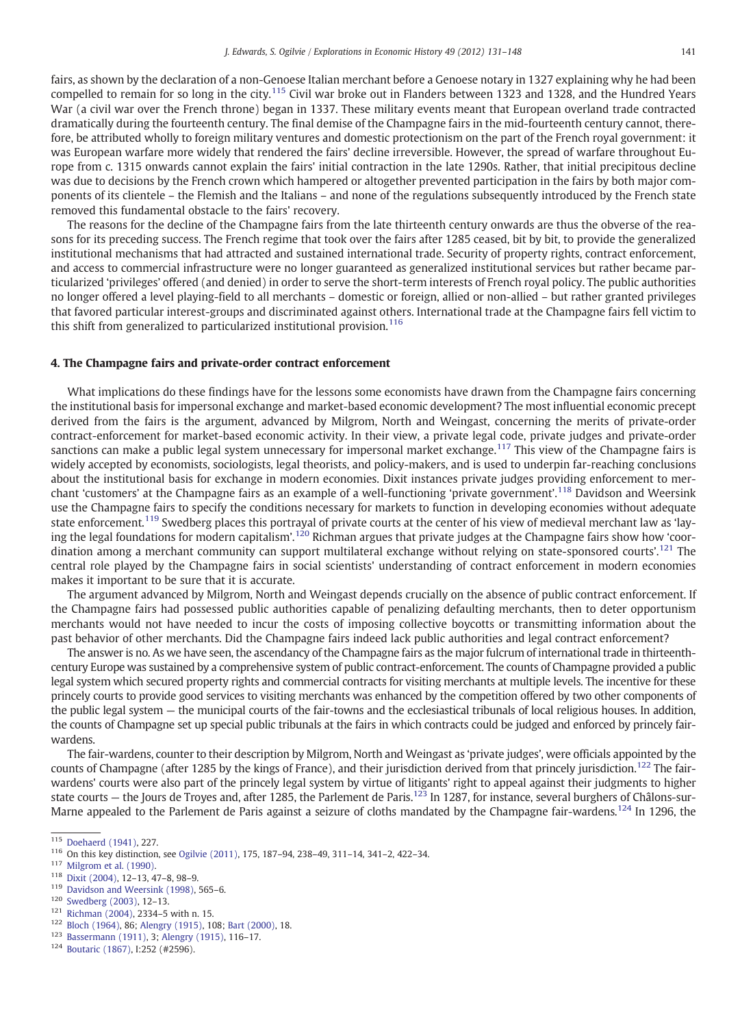fairs, as shown by the declaration of a non-Genoese Italian merchant before a Genoese notary in 1327 explaining why he had been compelled to remain for so long in the city.<sup>115</sup> Civil war broke out in Flanders between 1323 and 1328, and the Hundred Years War (a civil war over the French throne) began in 1337. These military events meant that European overland trade contracted dramatically during the fourteenth century. The final demise of the Champagne fairs in the mid-fourteenth century cannot, therefore, be attributed wholly to foreign military ventures and domestic protectionism on the part of the French royal government: it was European warfare more widely that rendered the fairs' decline irreversible. However, the spread of warfare throughout Europe from c. 1315 onwards cannot explain the fairs' initial contraction in the late 1290s. Rather, that initial precipitous decline was due to decisions by the French crown which hampered or altogether prevented participation in the fairs by both major components of its clientele – the Flemish and the Italians – and none of the regulations subsequently introduced by the French state removed this fundamental obstacle to the fairs' recovery.

The reasons for the decline of the Champagne fairs from the late thirteenth century onwards are thus the obverse of the reasons for its preceding success. The French regime that took over the fairs after 1285 ceased, bit by bit, to provide the generalized institutional mechanisms that had attracted and sustained international trade. Security of property rights, contract enforcement, and access to commercial infrastructure were no longer guaranteed as generalized institutional services but rather became particularized 'privileges' offered (and denied) in order to serve the short-term interests of French royal policy. The public authorities no longer offered a level playing-field to all merchants – domestic or foreign, allied or non-allied – but rather granted privileges that favored particular interest-groups and discriminated against others. International trade at the Champagne fairs fell victim to this shift from generalized to particularized institutional provision.<sup>116</sup>

#### 4. The Champagne fairs and private-order contract enforcement

What implications do these findings have for the lessons some economists have drawn from the Champagne fairs concerning the institutional basis for impersonal exchange and market-based economic development? The most influential economic precept derived from the fairs is the argument, advanced by Milgrom, North and Weingast, concerning the merits of private-order contract-enforcement for market-based economic activity. In their view, a private legal code, private judges and private-order sanctions can make a public legal system unnecessary for impersonal market exchange.<sup>117</sup> This view of the Champagne fairs is widely accepted by economists, sociologists, legal theorists, and policy-makers, and is used to underpin far-reaching conclusions about the institutional basis for exchange in modern economies. Dixit instances private judges providing enforcement to merchant 'customers' at the Champagne fairs as an example of a well-functioning 'private government'. <sup>118</sup> Davidson and Weersink use the Champagne fairs to specify the conditions necessary for markets to function in developing economies without adequate state enforcement.<sup>119</sup> Swedberg places this portrayal of private courts at the center of his view of medieval merchant law as 'laying the legal foundations for modern capitalism'.<sup>120</sup> Richman argues that private judges at the Champagne fairs show how 'coordination among a merchant community can support multilateral exchange without relying on state-sponsored courts'.<sup>121</sup> The central role played by the Champagne fairs in social scientists' understanding of contract enforcement in modern economies makes it important to be sure that it is accurate.

The argument advanced by Milgrom, North and Weingast depends crucially on the absence of public contract enforcement. If the Champagne fairs had possessed public authorities capable of penalizing defaulting merchants, then to deter opportunism merchants would not have needed to incur the costs of imposing collective boycotts or transmitting information about the past behavior of other merchants. Did the Champagne fairs indeed lack public authorities and legal contract enforcement?

The answer is no. As we have seen, the ascendancy of the Champagne fairs as the major fulcrum of international trade in thirteenthcentury Europe was sustained by a comprehensive system of public contract-enforcement. The counts of Champagne provided a public legal system which secured property rights and commercial contracts for visiting merchants at multiple levels. The incentive for these princely courts to provide good services to visiting merchants was enhanced by the competition offered by two other components of the public legal system — the municipal courts of the fair-towns and the ecclesiastical tribunals of local religious houses. In addition, the counts of Champagne set up special public tribunals at the fairs in which contracts could be judged and enforced by princely fairwardens.

The fair-wardens, counter to their description by Milgrom, North and Weingast as 'private judges', were officials appointed by the counts of Champagne (after 1285 by the kings of France), and their jurisdiction derived from that princely jurisdiction.<sup>122</sup> The fairwardens' courts were also part of the princely legal system by virtue of litigants' right to appeal against their judgments to higher state courts — the Jours de Troyes and, after 1285, the Parlement de Paris.<sup>123</sup> In 1287, for instance, several burghers of Châlons-sur-Marne appealed to the Parlement de Paris against a seizure of cloths mandated by the Champagne fair-wardens.<sup>124</sup> In 1296, the

<sup>119</sup> [Davidson and Weersink \(1998\)](#page-16-0), 565–6.

<sup>115</sup> [Doehaerd \(1941\),](#page-16-0) 227.

<sup>116</sup> On this key distinction, see [Ogilvie \(2011\),](#page-16-0) 175, 187–94, 238–49, 311–14, 341–2, 422–34.

<sup>117</sup> [Milgrom et al. \(1990\).](#page-16-0)

<sup>118</sup> [Dixit \(2004\),](#page-16-0) 12–13, 47–8, 98–9.

<sup>120</sup> [Swedberg \(2003\)](#page-16-0), 12–13.

<sup>121</sup> [Richman \(2004\)](#page-16-0), 2334–5 with n. 15.

<sup>122</sup> [Bloch \(1964\),](#page-16-0) 86; [Alengry \(1915\)](#page-15-0), 108; [Bart \(2000\),](#page-15-0) 18.

<sup>123</sup> [Bassermann \(1911\),](#page-15-0) 3; [Alengry \(1915\),](#page-15-0) 116–17.

<sup>124</sup> [Boutaric \(1867\),](#page-16-0) I:252 (#2596).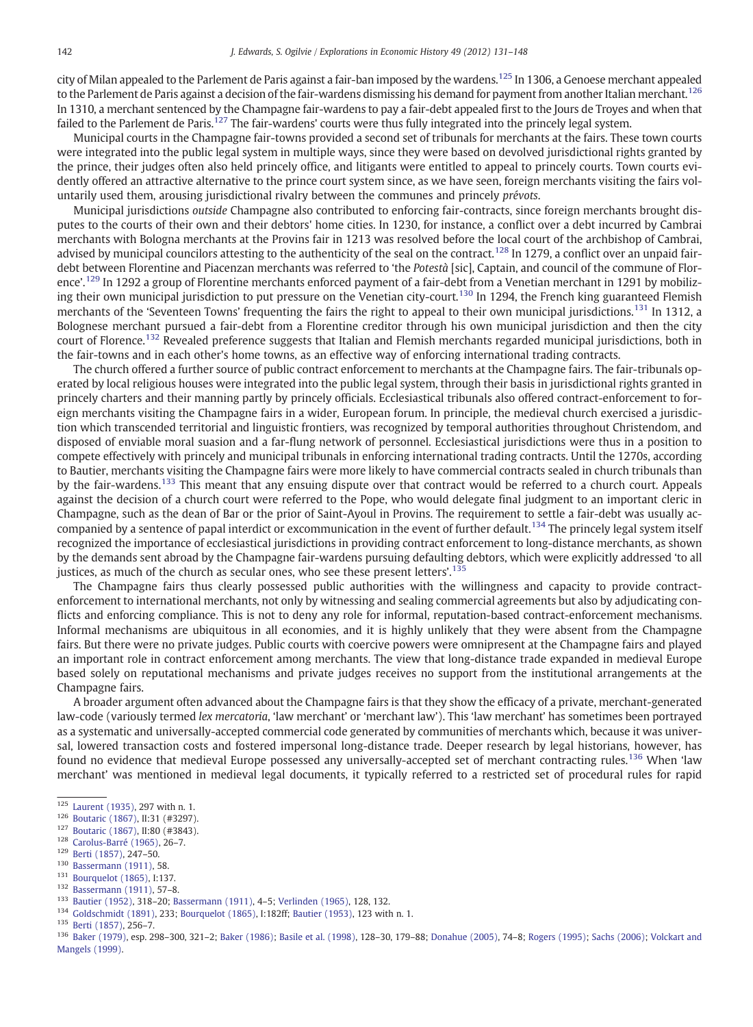city of Milan appealed to the Parlement de Paris against a fair-ban imposed by the wardens.<sup>125</sup> In 1306, a Genoese merchant appealed to the Parlement de Paris against a decision of the fair-wardens dismissing his demand for payment from another Italian merchant.<sup>126</sup> In 1310, a merchant sentenced by the Champagne fair-wardens to pay a fair-debt appealed first to the Jours de Troyes and when that failed to the Parlement de Paris.<sup>127</sup> The fair-wardens' courts were thus fully integrated into the princely legal system.

Municipal courts in the Champagne fair-towns provided a second set of tribunals for merchants at the fairs. These town courts were integrated into the public legal system in multiple ways, since they were based on devolved jurisdictional rights granted by the prince, their judges often also held princely office, and litigants were entitled to appeal to princely courts. Town courts evidently offered an attractive alternative to the prince court system since, as we have seen, foreign merchants visiting the fairs voluntarily used them, arousing jurisdictional rivalry between the communes and princely prévots.

Municipal jurisdictions outside Champagne also contributed to enforcing fair-contracts, since foreign merchants brought disputes to the courts of their own and their debtors' home cities. In 1230, for instance, a conflict over a debt incurred by Cambrai merchants with Bologna merchants at the Provins fair in 1213 was resolved before the local court of the archbishop of Cambrai, advised by municipal councilors attesting to the authenticity of the seal on the contract.<sup>128</sup> In 1279, a conflict over an unpaid fairdebt between Florentine and Piacenzan merchants was referred to 'the Potestà [sic], Captain, and council of the commune of Florence'.<sup>129</sup> In 1292 a group of Florentine merchants enforced payment of a fair-debt from a Venetian merchant in 1291 by mobilizing their own municipal jurisdiction to put pressure on the Venetian city-court.<sup>130</sup> In 1294, the French king guaranteed Flemish merchants of the 'Seventeen Towns' frequenting the fairs the right to appeal to their own municipal jurisdictions.<sup>131</sup> In 1312, a Bolognese merchant pursued a fair-debt from a Florentine creditor through his own municipal jurisdiction and then the city court of Florence.<sup>132</sup> Revealed preference suggests that Italian and Flemish merchants regarded municipal jurisdictions, both in the fair-towns and in each other's home towns, as an effective way of enforcing international trading contracts.

The church offered a further source of public contract enforcement to merchants at the Champagne fairs. The fair-tribunals operated by local religious houses were integrated into the public legal system, through their basis in jurisdictional rights granted in princely charters and their manning partly by princely officials. Ecclesiastical tribunals also offered contract-enforcement to foreign merchants visiting the Champagne fairs in a wider, European forum. In principle, the medieval church exercised a jurisdiction which transcended territorial and linguistic frontiers, was recognized by temporal authorities throughout Christendom, and disposed of enviable moral suasion and a far-flung network of personnel. Ecclesiastical jurisdictions were thus in a position to compete effectively with princely and municipal tribunals in enforcing international trading contracts. Until the 1270s, according to Bautier, merchants visiting the Champagne fairs were more likely to have commercial contracts sealed in church tribunals than by the fair-wardens.<sup>133</sup> This meant that any ensuing dispute over that contract would be referred to a church court. Appeals against the decision of a church court were referred to the Pope, who would delegate final judgment to an important cleric in Champagne, such as the dean of Bar or the prior of Saint-Ayoul in Provins. The requirement to settle a fair-debt was usually accompanied by a sentence of papal interdict or excommunication in the event of further default.<sup>134</sup> The princely legal system itself recognized the importance of ecclesiastical jurisdictions in providing contract enforcement to long-distance merchants, as shown by the demands sent abroad by the Champagne fair-wardens pursuing defaulting debtors, which were explicitly addressed 'to all justices, as much of the church as secular ones, who see these present letters'.<sup>135</sup>

The Champagne fairs thus clearly possessed public authorities with the willingness and capacity to provide contractenforcement to international merchants, not only by witnessing and sealing commercial agreements but also by adjudicating conflicts and enforcing compliance. This is not to deny any role for informal, reputation-based contract-enforcement mechanisms. Informal mechanisms are ubiquitous in all economies, and it is highly unlikely that they were absent from the Champagne fairs. But there were no private judges. Public courts with coercive powers were omnipresent at the Champagne fairs and played an important role in contract enforcement among merchants. The view that long-distance trade expanded in medieval Europe based solely on reputational mechanisms and private judges receives no support from the institutional arrangements at the Champagne fairs.

A broader argument often advanced about the Champagne fairs is that they show the efficacy of a private, merchant-generated law-code (variously termed lex mercatoria, 'law merchant' or 'merchant law'). This 'law merchant' has sometimes been portrayed as a systematic and universally-accepted commercial code generated by communities of merchants which, because it was universal, lowered transaction costs and fostered impersonal long-distance trade. Deeper research by legal historians, however, has found no evidence that medieval Europe possessed any universally-accepted set of merchant contracting rules.<sup>136</sup> When 'law merchant' was mentioned in medieval legal documents, it typically referred to a restricted set of procedural rules for rapid

<sup>130</sup> [Bassermann \(1911\)](#page-15-0), 58.

<sup>125</sup> [Laurent \(1935\)](#page-16-0), 297 with n. 1.

<sup>&</sup>lt;sup>126</sup> [Boutaric \(1867\)](#page-16-0), II:31 (#3297).

[Boutaric \(1867\)](#page-16-0), II:80 (#3843).

<sup>128</sup> [Carolus-Barré \(1965\),](#page-16-0) 26–7.

<sup>129</sup> [Berti \(1857\),](#page-16-0) 247–50.

<sup>131</sup> [Bourquelot \(1865\)](#page-16-0), I:137.

<sup>132</sup> [Bassermann \(1911\)](#page-15-0), 57–8.

<sup>133</sup> [Bautier \(1952\),](#page-16-0) 318–20; [Bassermann \(1911\),](#page-15-0) 4–5; [Verlinden \(1965\)](#page-17-0), 128, 132.

<sup>134</sup> [Goldschmidt \(1891\)](#page-16-0), 233; [Bourquelot \(1865\),](#page-16-0) I:182ff; [Bautier \(1953\),](#page-16-0) 123 with n. 1.

<sup>135</sup> [Berti \(1857\),](#page-16-0) 256–7.

<sup>136</sup> [Baker \(1979\)](#page-15-0), esp. 298–300, 321–2; [Baker \(1986\);](#page-15-0) [Basile et al. \(1998\),](#page-15-0) 128–30, 179–88; [Donahue \(2005\),](#page-16-0) 74–8; [Rogers \(1995\);](#page-16-0) [Sachs \(2006\)](#page-16-0); [Volckart and](#page-17-0) [Mangels \(1999\).](#page-17-0)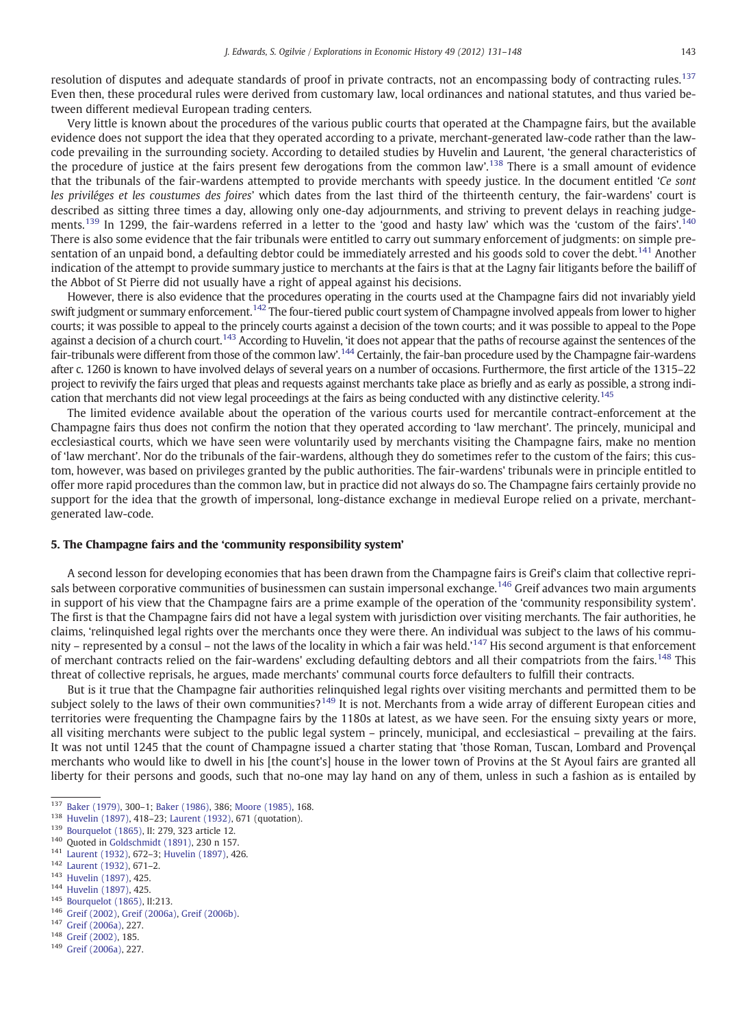resolution of disputes and adequate standards of proof in private contracts, not an encompassing body of contracting rules.<sup>137</sup> Even then, these procedural rules were derived from customary law, local ordinances and national statutes, and thus varied between different medieval European trading centers.

Very little is known about the procedures of the various public courts that operated at the Champagne fairs, but the available evidence does not support the idea that they operated according to a private, merchant-generated law-code rather than the lawcode prevailing in the surrounding society. According to detailed studies by Huvelin and Laurent, 'the general characteristics of the procedure of justice at the fairs present few derogations from the common law'.<sup>138</sup> There is a small amount of evidence that the tribunals of the fair-wardens attempted to provide merchants with speedy justice. In the document entitled 'Ce sont les priviléges et les coustumes des foires' which dates from the last third of the thirteenth century, the fair-wardens' court is described as sitting three times a day, allowing only one-day adjournments, and striving to prevent delays in reaching judgements.<sup>139</sup> In 1299, the fair-wardens referred in a letter to the 'good and hasty law' which was the 'custom of the fairs'.<sup>140</sup> There is also some evidence that the fair tribunals were entitled to carry out summary enforcement of judgments: on simple presentation of an unpaid bond, a defaulting debtor could be immediately arrested and his goods sold to cover the debt.<sup>141</sup> Another indication of the attempt to provide summary justice to merchants at the fairs is that at the Lagny fair litigants before the bailiff of the Abbot of St Pierre did not usually have a right of appeal against his decisions.

However, there is also evidence that the procedures operating in the courts used at the Champagne fairs did not invariably yield swift judgment or summary enforcement.<sup>142</sup> The four-tiered public court system of Champagne involved appeals from lower to higher courts; it was possible to appeal to the princely courts against a decision of the town courts; and it was possible to appeal to the Pope against a decision of a church court.<sup>143</sup> According to Huvelin, 'it does not appear that the paths of recourse against the sentences of the fair-tribunals were different from those of the common law'. <sup>144</sup> Certainly, the fair-ban procedure used by the Champagne fair-wardens after c. 1260 is known to have involved delays of several years on a number of occasions. Furthermore, the first article of the 1315–22 project to revivify the fairs urged that pleas and requests against merchants take place as briefly and as early as possible, a strong indication that merchants did not view legal proceedings at the fairs as being conducted with any distinctive celerity.<sup>145</sup>

The limited evidence available about the operation of the various courts used for mercantile contract-enforcement at the Champagne fairs thus does not confirm the notion that they operated according to 'law merchant'. The princely, municipal and ecclesiastical courts, which we have seen were voluntarily used by merchants visiting the Champagne fairs, make no mention of 'law merchant'. Nor do the tribunals of the fair-wardens, although they do sometimes refer to the custom of the fairs; this custom, however, was based on privileges granted by the public authorities. The fair-wardens' tribunals were in principle entitled to offer more rapid procedures than the common law, but in practice did not always do so. The Champagne fairs certainly provide no support for the idea that the growth of impersonal, long-distance exchange in medieval Europe relied on a private, merchantgenerated law-code.

#### 5. The Champagne fairs and the 'community responsibility system'

A second lesson for developing economies that has been drawn from the Champagne fairs is Greif's claim that collective reprisals between corporative communities of businessmen can sustain impersonal exchange.<sup>146</sup> Greif advances two main arguments in support of his view that the Champagne fairs are a prime example of the operation of the 'community responsibility system'. The first is that the Champagne fairs did not have a legal system with jurisdiction over visiting merchants. The fair authorities, he claims, 'relinquished legal rights over the merchants once they were there. An individual was subject to the laws of his community – represented by a consul – not the laws of the locality in which a fair was held.'<sup>147</sup> His second argument is that enforcement of merchant contracts relied on the fair-wardens' excluding defaulting debtors and all their compatriots from the fairs.<sup>148</sup> This threat of collective reprisals, he argues, made merchants' communal courts force defaulters to fulfill their contracts.

But is it true that the Champagne fair authorities relinquished legal rights over visiting merchants and permitted them to be subject solely to the laws of their own communities?<sup>149</sup> It is not. Merchants from a wide array of different European cities and territories were frequenting the Champagne fairs by the 1180s at latest, as we have seen. For the ensuing sixty years or more, all visiting merchants were subject to the public legal system – princely, municipal, and ecclesiastical – prevailing at the fairs. It was not until 1245 that the count of Champagne issued a charter stating that 'those Roman, Tuscan, Lombard and Provençal merchants who would like to dwell in his [the count's] house in the lower town of Provins at the St Ayoul fairs are granted all liberty for their persons and goods, such that no-one may lay hand on any of them, unless in such a fashion as is entailed by

<sup>137</sup> [Baker \(1979\),](#page-15-0) 300–1; [Baker \(1986\)](#page-15-0), 386; [Moore \(1985\)](#page-16-0), 168.

<sup>138</sup> [Huvelin \(1897\)](#page-16-0), 418–23; [Laurent \(1932\)](#page-16-0), 671 (quotation).

<sup>139</sup> [Bourquelot \(1865\),](#page-16-0) II: 279, 323 article 12.

<sup>140</sup> Quoted in [Goldschmidt \(1891\),](#page-16-0) 230 n 157.

<sup>141</sup> [Laurent \(1932\),](#page-16-0) 672–3; [Huvelin \(1897\),](#page-16-0) 426.

<sup>142</sup> [Laurent \(1932\),](#page-16-0) 671–2.

<sup>143</sup> [Huvelin \(1897\)](#page-16-0), 425.

<sup>144</sup> [Huvelin \(1897\)](#page-16-0), 425.

<sup>145</sup> [Bourquelot \(1865\),](#page-16-0) II:213.

<sup>146</sup> [Greif \(2002\),](#page-16-0) [Greif \(2006a\),](#page-16-0) [Greif \(2006b\)](#page-16-0).

<sup>147</sup> [Greif \(2006a\)](#page-16-0), 227.

<sup>148</sup> [Greif \(2002\),](#page-16-0) 185.

<sup>149</sup> [Greif \(2006a\)](#page-16-0), 227.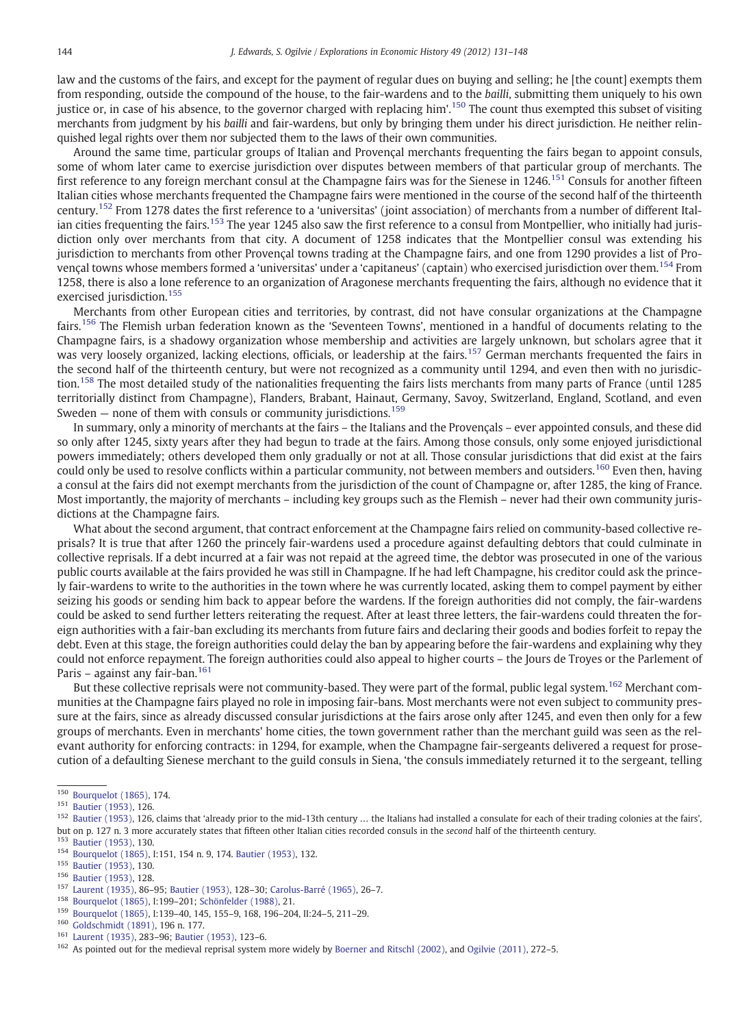law and the customs of the fairs, and except for the payment of regular dues on buying and selling; he [the count] exempts them from responding, outside the compound of the house, to the fair-wardens and to the bailli, submitting them uniquely to his own justice or, in case of his absence, to the governor charged with replacing him'.<sup>150</sup> The count thus exempted this subset of visiting merchants from judgment by his bailli and fair-wardens, but only by bringing them under his direct jurisdiction. He neither relinquished legal rights over them nor subjected them to the laws of their own communities.

Around the same time, particular groups of Italian and Provençal merchants frequenting the fairs began to appoint consuls, some of whom later came to exercise jurisdiction over disputes between members of that particular group of merchants. The first reference to any foreign merchant consul at the Champagne fairs was for the Sienese in 1246.<sup>151</sup> Consuls for another fifteen Italian cities whose merchants frequented the Champagne fairs were mentioned in the course of the second half of the thirteenth century.<sup>152</sup> From 1278 dates the first reference to a 'universitas' (joint association) of merchants from a number of different Italian cities frequenting the fairs.<sup>153</sup> The year 1245 also saw the first reference to a consul from Montpellier, who initially had jurisdiction only over merchants from that city. A document of 1258 indicates that the Montpellier consul was extending his jurisdiction to merchants from other Provençal towns trading at the Champagne fairs, and one from 1290 provides a list of Provençal towns whose members formed a 'universitas' under a 'capitaneus' (captain) who exercised jurisdiction over them.<sup>154</sup> From 1258, there is also a lone reference to an organization of Aragonese merchants frequenting the fairs, although no evidence that it exercised jurisdiction.<sup>155</sup>

Merchants from other European cities and territories, by contrast, did not have consular organizations at the Champagne fairs.<sup>156</sup> The Flemish urban federation known as the 'Seventeen Towns', mentioned in a handful of documents relating to the Champagne fairs, is a shadowy organization whose membership and activities are largely unknown, but scholars agree that it was very loosely organized, lacking elections, officials, or leadership at the fairs.<sup>157</sup> German merchants frequented the fairs in the second half of the thirteenth century, but were not recognized as a community until 1294, and even then with no jurisdiction.<sup>158</sup> The most detailed study of the nationalities frequenting the fairs lists merchants from many parts of France (until 1285 territorially distinct from Champagne), Flanders, Brabant, Hainaut, Germany, Savoy, Switzerland, England, Scotland, and even Sweden  $-$  none of them with consuls or community jurisdictions.<sup>159</sup>

In summary, only a minority of merchants at the fairs – the Italians and the Provençals – ever appointed consuls, and these did so only after 1245, sixty years after they had begun to trade at the fairs. Among those consuls, only some enjoyed jurisdictional powers immediately; others developed them only gradually or not at all. Those consular jurisdictions that did exist at the fairs could only be used to resolve conflicts within a particular community, not between members and outsiders.<sup>160</sup> Even then, having a consul at the fairs did not exempt merchants from the jurisdiction of the count of Champagne or, after 1285, the king of France. Most importantly, the majority of merchants – including key groups such as the Flemish – never had their own community jurisdictions at the Champagne fairs.

What about the second argument, that contract enforcement at the Champagne fairs relied on community-based collective reprisals? It is true that after 1260 the princely fair-wardens used a procedure against defaulting debtors that could culminate in collective reprisals. If a debt incurred at a fair was not repaid at the agreed time, the debtor was prosecuted in one of the various public courts available at the fairs provided he was still in Champagne. If he had left Champagne, his creditor could ask the princely fair-wardens to write to the authorities in the town where he was currently located, asking them to compel payment by either seizing his goods or sending him back to appear before the wardens. If the foreign authorities did not comply, the fair-wardens could be asked to send further letters reiterating the request. After at least three letters, the fair-wardens could threaten the foreign authorities with a fair-ban excluding its merchants from future fairs and declaring their goods and bodies forfeit to repay the debt. Even at this stage, the foreign authorities could delay the ban by appearing before the fair-wardens and explaining why they could not enforce repayment. The foreign authorities could also appeal to higher courts – the Jours de Troyes or the Parlement of Paris – against any fair-ban.<sup>161</sup>

But these collective reprisals were not community-based. They were part of the formal, public legal system.<sup>162</sup> Merchant communities at the Champagne fairs played no role in imposing fair-bans. Most merchants were not even subject to community pressure at the fairs, since as already discussed consular jurisdictions at the fairs arose only after 1245, and even then only for a few groups of merchants. Even in merchants' home cities, the town government rather than the merchant guild was seen as the relevant authority for enforcing contracts: in 1294, for example, when the Champagne fair-sergeants delivered a request for prosecution of a defaulting Sienese merchant to the guild consuls in Siena, 'the consuls immediately returned it to the sergeant, telling

<sup>150</sup> [Bourquelot \(1865\)](#page-16-0), 174.

<sup>151</sup> [Bautier \(1953\),](#page-16-0) 126.

 $152$  [Bautier \(1953\),](#page-16-0) 126, claims that 'already prior to the mid-13th century  $\dots$  the Italians had installed a consulate for each of their trading colonies at the fairs'. but on p. 127 n. 3 more accurately states that fifteen other Italian cities recorded consuls in the second half of the thirteenth century.

<sup>153</sup> [Bautier \(1953\),](#page-16-0) 130.

<sup>154</sup> [Bourquelot \(1865\)](#page-16-0), I:151, 154 n. 9, 174. [Bautier \(1953\),](#page-16-0) 132.

<sup>155</sup> [Bautier \(1953\),](#page-16-0) 130.

<sup>156</sup> [Bautier \(1953\),](#page-16-0) 128.

<sup>157</sup> [Laurent \(1935\)](#page-16-0), 86–95; [Bautier \(1953\),](#page-16-0) 128–30; [Carolus-Barré \(1965\)](#page-16-0), 26–7.

<sup>158</sup> [Bourquelot \(1865\)](#page-16-0), I:199-201; [Schönfelder \(1988\)](#page-16-0), 21.<br>159 Bourguelot (1865), 1130, 40, 145, 155, 0, 169, 106, 200

<sup>159</sup> [Bourquelot \(1865\)](#page-16-0), I:139–40, 145, 155–9, 168, 196–204, II:24–5, 211–29.

<sup>160</sup> [Goldschmidt \(1891\)](#page-16-0), 196 n. 177.

<sup>161</sup> [Laurent \(1935\)](#page-16-0), 283–96; [Bautier \(1953\),](#page-16-0) 123–6.

<sup>162</sup> As pointed out for the medieval reprisal system more widely by [Boerner and Ritschl \(2002\),](#page-16-0) and [Ogilvie \(2011\)](#page-16-0), 272–5.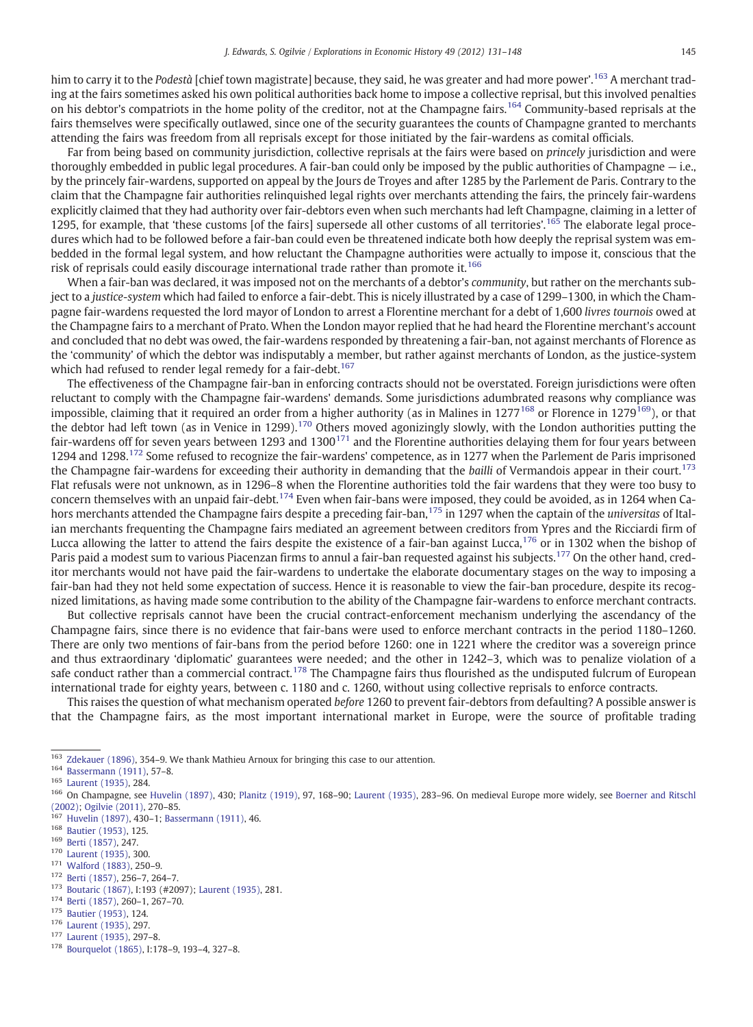him to carry it to the *Podestà* [chief town magistrate] because, they said, he was greater and had more power'. <sup>163</sup> A merchant trading at the fairs sometimes asked his own political authorities back home to impose a collective reprisal, but this involved penalties on his debtor's compatriots in the home polity of the creditor, not at the Champagne fairs.<sup>164</sup> Community-based reprisals at the fairs themselves were specifically outlawed, since one of the security guarantees the counts of Champagne granted to merchants attending the fairs was freedom from all reprisals except for those initiated by the fair-wardens as comital officials.

Far from being based on community jurisdiction, collective reprisals at the fairs were based on *princely* jurisdiction and were thoroughly embedded in public legal procedures. A fair-ban could only be imposed by the public authorities of Champagne  $-$  i.e., by the princely fair-wardens, supported on appeal by the Jours de Troyes and after 1285 by the Parlement de Paris. Contrary to the claim that the Champagne fair authorities relinquished legal rights over merchants attending the fairs, the princely fair-wardens explicitly claimed that they had authority over fair-debtors even when such merchants had left Champagne, claiming in a letter of 1295, for example, that 'these customs [of the fairs] supersede all other customs of all territories'.<sup>165</sup> The elaborate legal procedures which had to be followed before a fair-ban could even be threatened indicate both how deeply the reprisal system was embedded in the formal legal system, and how reluctant the Champagne authorities were actually to impose it, conscious that the risk of reprisals could easily discourage international trade rather than promote it.<sup>166</sup>

When a fair-ban was declared, it was imposed not on the merchants of a debtor's community, but rather on the merchants subject to a justice-system which had failed to enforce a fair-debt. This is nicely illustrated by a case of 1299-1300, in which the Champagne fair-wardens requested the lord mayor of London to arrest a Florentine merchant for a debt of 1,600 livres tournois owed at the Champagne fairs to a merchant of Prato. When the London mayor replied that he had heard the Florentine merchant's account and concluded that no debt was owed, the fair-wardens responded by threatening a fair-ban, not against merchants of Florence as the 'community' of which the debtor was indisputably a member, but rather against merchants of London, as the justice-system which had refused to render legal remedy for a fair-debt.<sup>167</sup>

The effectiveness of the Champagne fair-ban in enforcing contracts should not be overstated. Foreign jurisdictions were often reluctant to comply with the Champagne fair-wardens' demands. Some jurisdictions adumbrated reasons why compliance was impossible, claiming that it required an order from a higher authority (as in Malines in  $1277^{168}$  or Florence in  $1279^{169}$ ), or that the debtor had left town (as in Venice in 1299).<sup>170</sup> Others moved agonizingly slowly, with the London authorities putting the fair-wardens off for seven years between 1293 and 1300<sup>171</sup> and the Florentine authorities delaying them for four years between 1294 and 1298.<sup>172</sup> Some refused to recognize the fair-wardens' competence, as in 1277 when the Parlement de Paris imprisoned the Champagne fair-wardens for exceeding their authority in demanding that the bailli of Vermandois appear in their court.<sup>173</sup> Flat refusals were not unknown, as in 1296–8 when the Florentine authorities told the fair wardens that they were too busy to concern themselves with an unpaid fair-debt.<sup>174</sup> Even when fair-bans were imposed, they could be avoided, as in 1264 when Cahors merchants attended the Champagne fairs despite a preceding fair-ban,<sup>175</sup> in 1297 when the captain of the *universitas* of Italian merchants frequenting the Champagne fairs mediated an agreement between creditors from Ypres and the Ricciardi firm of Lucca allowing the latter to attend the fairs despite the existence of a fair-ban against Lucca,  $^{176}$  or in 1302 when the bishop of Paris paid a modest sum to various Piacenzan firms to annul a fair-ban requested against his subjects.<sup>177</sup> On the other hand, creditor merchants would not have paid the fair-wardens to undertake the elaborate documentary stages on the way to imposing a fair-ban had they not held some expectation of success. Hence it is reasonable to view the fair-ban procedure, despite its recognized limitations, as having made some contribution to the ability of the Champagne fair-wardens to enforce merchant contracts.

But collective reprisals cannot have been the crucial contract-enforcement mechanism underlying the ascendancy of the Champagne fairs, since there is no evidence that fair-bans were used to enforce merchant contracts in the period 1180–1260. There are only two mentions of fair-bans from the period before 1260: one in 1221 where the creditor was a sovereign prince and thus extraordinary 'diplomatic' guarantees were needed; and the other in 1242–3, which was to penalize violation of a safe conduct rather than a commercial contract.<sup>178</sup> The Champagne fairs thus flourished as the undisputed fulcrum of European international trade for eighty years, between c. 1180 and c. 1260, without using collective reprisals to enforce contracts.

This raises the question of what mechanism operated before 1260 to prevent fair-debtors from defaulting? A possible answer is that the Champagne fairs, as the most important international market in Europe, were the source of profitable trading

<sup>176</sup> [Laurent \(1935\),](#page-16-0) 297.

<sup>163</sup> [Zdekauer \(1896\),](#page-17-0) 354–9. We thank Mathieu Arnoux for bringing this case to our attention.

<sup>164</sup> [Bassermann \(1911\),](#page-15-0) 57–8.

<sup>165</sup> [Laurent \(1935\),](#page-16-0) 284.

<sup>166</sup> On Champagne, see [Huvelin \(1897\),](#page-16-0) 430; [Planitz \(1919\)](#page-16-0), 97, 168–90; [Laurent \(1935\),](#page-16-0) 283–96. On medieval Europe more widely, see [Boerner and Ritschl](#page-16-0) [\(2002\)](#page-16-0); [Ogilvie \(2011\),](#page-16-0) 270–85.

<sup>167</sup> [Huvelin \(1897\)](#page-16-0), 430–1; [Bassermann \(1911\),](#page-15-0) 46.

<sup>168</sup> [Bautier \(1953\)](#page-16-0), 125.

<sup>169</sup> [Berti \(1857\)](#page-16-0), 247.

<sup>170</sup> [Laurent \(1935\),](#page-16-0) 300.

<sup>171</sup> [Walford \(1883\)](#page-17-0), 250–9.

<sup>172</sup> [Berti \(1857\)](#page-16-0), 256–7, 264–7.

<sup>173</sup> [Boutaric \(1867\),](#page-16-0) I:193 (#2097); [Laurent \(1935\)](#page-16-0), 281.

<sup>174</sup> [Berti \(1857\)](#page-16-0), 260–1, 267–70.

<sup>175</sup> [Bautier \(1953\)](#page-16-0), 124.

<sup>177</sup> [Laurent \(1935\),](#page-16-0) 297–8.

<sup>178</sup> [Bourquelot \(1865\),](#page-16-0) I:178–9, 193–4, 327–8.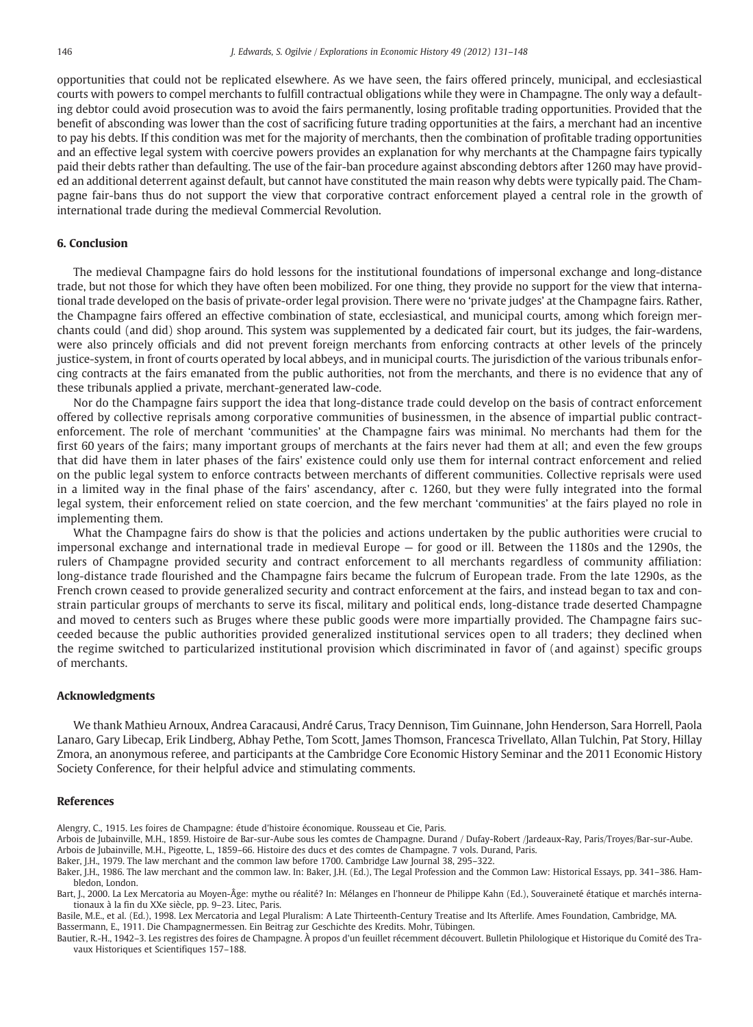<span id="page-15-0"></span>opportunities that could not be replicated elsewhere. As we have seen, the fairs offered princely, municipal, and ecclesiastical courts with powers to compel merchants to fulfill contractual obligations while they were in Champagne. The only way a defaulting debtor could avoid prosecution was to avoid the fairs permanently, losing profitable trading opportunities. Provided that the benefit of absconding was lower than the cost of sacrificing future trading opportunities at the fairs, a merchant had an incentive to pay his debts. If this condition was met for the majority of merchants, then the combination of profitable trading opportunities and an effective legal system with coercive powers provides an explanation for why merchants at the Champagne fairs typically paid their debts rather than defaulting. The use of the fair-ban procedure against absconding debtors after 1260 may have provided an additional deterrent against default, but cannot have constituted the main reason why debts were typically paid. The Champagne fair-bans thus do not support the view that corporative contract enforcement played a central role in the growth of international trade during the medieval Commercial Revolution.

#### 6. Conclusion

The medieval Champagne fairs do hold lessons for the institutional foundations of impersonal exchange and long-distance trade, but not those for which they have often been mobilized. For one thing, they provide no support for the view that international trade developed on the basis of private-order legal provision. There were no 'private judges' at the Champagne fairs. Rather, the Champagne fairs offered an effective combination of state, ecclesiastical, and municipal courts, among which foreign merchants could (and did) shop around. This system was supplemented by a dedicated fair court, but its judges, the fair-wardens, were also princely officials and did not prevent foreign merchants from enforcing contracts at other levels of the princely justice-system, in front of courts operated by local abbeys, and in municipal courts. The jurisdiction of the various tribunals enforcing contracts at the fairs emanated from the public authorities, not from the merchants, and there is no evidence that any of these tribunals applied a private, merchant-generated law-code.

Nor do the Champagne fairs support the idea that long-distance trade could develop on the basis of contract enforcement offered by collective reprisals among corporative communities of businessmen, in the absence of impartial public contractenforcement. The role of merchant 'communities' at the Champagne fairs was minimal. No merchants had them for the first 60 years of the fairs; many important groups of merchants at the fairs never had them at all; and even the few groups that did have them in later phases of the fairs' existence could only use them for internal contract enforcement and relied on the public legal system to enforce contracts between merchants of different communities. Collective reprisals were used in a limited way in the final phase of the fairs' ascendancy, after c. 1260, but they were fully integrated into the formal legal system, their enforcement relied on state coercion, and the few merchant 'communities' at the fairs played no role in implementing them.

What the Champagne fairs do show is that the policies and actions undertaken by the public authorities were crucial to impersonal exchange and international trade in medieval Europe — for good or ill. Between the 1180s and the 1290s, the rulers of Champagne provided security and contract enforcement to all merchants regardless of community affiliation: long-distance trade flourished and the Champagne fairs became the fulcrum of European trade. From the late 1290s, as the French crown ceased to provide generalized security and contract enforcement at the fairs, and instead began to tax and constrain particular groups of merchants to serve its fiscal, military and political ends, long-distance trade deserted Champagne and moved to centers such as Bruges where these public goods were more impartially provided. The Champagne fairs succeeded because the public authorities provided generalized institutional services open to all traders; they declined when the regime switched to particularized institutional provision which discriminated in favor of (and against) specific groups of merchants.

#### Acknowledgments

We thank Mathieu Arnoux, Andrea Caracausi, André Carus, Tracy Dennison, Tim Guinnane, John Henderson, Sara Horrell, Paola Lanaro, Gary Libecap, Erik Lindberg, Abhay Pethe, Tom Scott, James Thomson, Francesca Trivellato, Allan Tulchin, Pat Story, Hillay Zmora, an anonymous referee, and participants at the Cambridge Core Economic History Seminar and the 2011 Economic History Society Conference, for their helpful advice and stimulating comments.

#### References

Alengry, C., 1915. Les foires de Champagne: étude d'histoire économique. Rousseau et Cie, Paris.

Arbois de Jubainville, M.H., 1859. Histoire de Bar-sur-Aube sous les comtes de Champagne. Durand / Dufay-Robert /Jardeaux-Ray, Paris/Troyes/Bar-sur-Aube. Arbois de Jubainville, M.H., Pigeotte, L., 1859–66. Histoire des ducs et des comtes de Champagne. 7 vols. Durand, Paris.

Baker, J.H., 1986. The law merchant and the common law. In: Baker, J.H. (Ed.), The Legal Profession and the Common Law: Historical Essays, pp. 341–386. Hambledon, London.

Basile, M.E., et al. (Ed.), 1998. Lex Mercatoria and Legal Pluralism: A Late Thirteenth-Century Treatise and Its Afterlife. Ames Foundation, Cambridge, MA.

Bassermann, E., 1911. Die Champagnermessen. Ein Beitrag zur Geschichte des Kredits. Mohr, Tübingen.

Bautier, R.-H., 1942–3. Les registres des foires de Champagne. À propos d'un feuillet récemment découvert. Bulletin Philologique et Historique du Comité des Travaux Historiques et Scientifiques 157–188.

Baker, J.H., 1979. The law merchant and the common law before 1700. Cambridge Law Journal 38, 295–322.

Bart, J., 2000. La Lex Mercatoria au Moyen-Âge: mythe ou réalité? In: Mélanges en l'honneur de Philippe Kahn (Ed.), Souveraineté étatique et marchés internationaux à la fin du XXe siècle, pp. 9–23. Litec, Paris.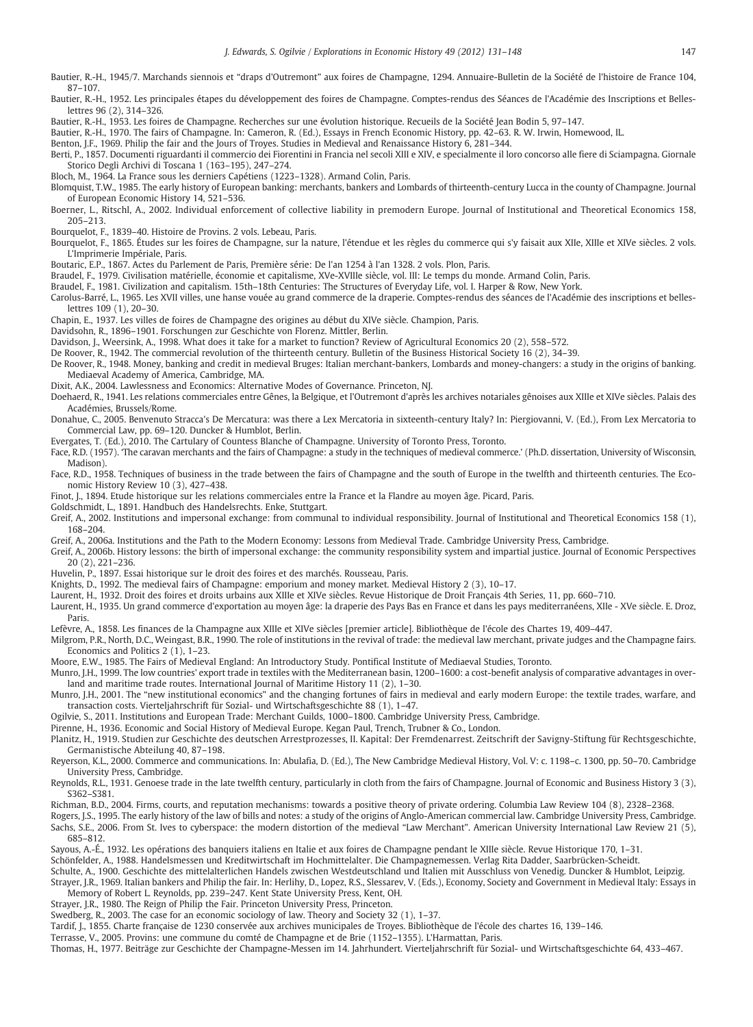- <span id="page-16-0"></span>Bautier, R.-H., 1945/7. Marchands siennois et "draps d'Outremont" aux foires de Champagne, 1294. Annuaire-Bulletin de la Société de l'histoire de France 104, 87–107.
- Bautier, R.-H., 1952. Les principales étapes du développement des foires de Champagne. Comptes-rendus des Séances de l'Académie des Inscriptions et Belleslettres 96 (2), 314–326.
- Bautier, R.-H., 1953. Les foires de Champagne. Recherches sur une évolution historique. Recueils de la Société Jean Bodin 5, 97–147.
- Bautier, R.-H., 1970. The fairs of Champagne. In: Cameron, R. (Ed.), Essays in French Economic History, pp. 42–63. R. W. Irwin, Homewood, IL.
- Benton, J.F., 1969. Philip the fair and the Jours of Troyes. Studies in Medieval and Renaissance History 6, 281–344.

Berti, P., 1857. Documenti riguardanti il commercio dei Fiorentini in Francia nel secoli XIII e XIV, e specialmente il loro concorso alle fiere di Sciampagna. Giornale Storico Degli Archivi di Toscana 1 (163–195), 247–274.

Bloch, M., 1964. La France sous les derniers Capétiens (1223–1328). Armand Colin, Paris.

Blomquist, T.W., 1985. The early history of European banking: merchants, bankers and Lombards of thirteenth-century Lucca in the county of Champagne. Journal of European Economic History 14, 521–536.

Boerner, L., Ritschl, A., 2002. Individual enforcement of collective liability in premodern Europe. Journal of Institutional and Theoretical Economics 158, 205–213.

Bourquelot, F., 1839–40. Histoire de Provins. 2 vols. Lebeau, Paris.

Bourquelot, F., 1865. Études sur les foires de Champagne, sur la nature, l'étendue et les règles du commerce qui s'y faisait aux XIIe, XIIIe et XIVe siècles. 2 vols. L'Imprimerie Impériale, Paris.

Boutaric, E.P., 1867. Actes du Parlement de Paris, Première série: De l'an 1254 à l'an 1328. 2 vols. Plon, Paris.

- Braudel, F., 1979. Civilisation matérielle, économie et capitalisme, XVe-XVIIIe siècle, vol. III: Le temps du monde. Armand Colin, Paris.
- Braudel, F., 1981. Civilization and capitalism. 15th–18th Centuries: The Structures of Everyday Life, vol. I. Harper & Row, New York.
- Carolus-Barré, L., 1965. Les XVII villes, une hanse vouée au grand commerce de la draperie. Comptes-rendus des séances de l'Académie des inscriptions et belleslettres 109 (1), 20–30.
- Chapin, E., 1937. Les villes de foires de Champagne des origines au début du XIVe siècle. Champion, Paris.
- Davidsohn, R., 1896–1901. Forschungen zur Geschichte von Florenz. Mittler, Berlin.

Davidson, J., Weersink, A., 1998. What does it take for a market to function? Review of Agricultural Economics 20 (2), 558–572.

De Roover, R., 1942. The commercial revolution of the thirteenth century. Bulletin of the Business Historical Society 16 (2), 34–39.

De Roover, R., 1948. Money, banking and credit in medieval Bruges: Italian merchant-bankers, Lombards and money-changers: a study in the origins of banking. Mediaeval Academy of America, Cambridge, MA.

- Dixit, A.K., 2004. Lawlessness and Economics: Alternative Modes of Governance. Princeton, NJ.
- Doehaerd, R., 1941. Les relations commerciales entre Gênes, la Belgique, et l'Outremont d'après les archives notariales gênoises aux XIIIe et XIVe siècles. Palais des Académies, Brussels/Rome.
- Donahue, C., 2005. Benvenuto Stracca's De Mercatura: was there a Lex Mercatoria in sixteenth-century Italy? In: Piergiovanni, V. (Ed.), From Lex Mercatoria to Commercial Law, pp. 69–120. Duncker & Humblot, Berlin.
- Evergates, T. (Ed.), 2010. The Cartulary of Countess Blanche of Champagne. University of Toronto Press, Toronto.
- Face, R.D. (1957). 'The caravan merchants and the fairs of Champagne: a study in the techniques of medieval commerce.' (Ph.D. dissertation, University of Wisconsin, Madison).
- Face, R.D., 1958. Techniques of business in the trade between the fairs of Champagne and the south of Europe in the twelfth and thirteenth centuries. The Economic History Review 10 (3), 427–438.
- Finot, J., 1894. Etude historique sur les relations commerciales entre la France et la Flandre au moyen âge. Picard, Paris.
- Goldschmidt, L., 1891. Handbuch des Handelsrechts. Enke, Stuttgart.
- Greif, A., 2002. Institutions and impersonal exchange: from communal to individual responsibility. Journal of Institutional and Theoretical Economics 158 (1), 168–204.
- Greif, A., 2006a. Institutions and the Path to the Modern Economy: Lessons from Medieval Trade. Cambridge University Press, Cambridge.
- Greif, A., 2006b. History lessons: the birth of impersonal exchange: the community responsibility system and impartial justice. Journal of Economic Perspectives 20 (2), 221–236.
- Huvelin, P., 1897. Essai historique sur le droit des foires et des marchés. Rousseau, Paris.
- Knights, D., 1992. The medieval fairs of Champagne: emporium and money market. Medieval History 2 (3), 10–17.
- Laurent, H., 1932. Droit des foires et droits urbains aux XIIIe et XIVe siècles. Revue Historique de Droit Français 4th Series, 11, pp. 660–710.
- Laurent, H., 1935. Un grand commerce d'exportation au moyen âge: la draperie des Pays Bas en France et dans les pays mediterranéens, XIIe XVe siècle. E. Droz, Paris.
- Lefèvre, A., 1858. Les finances de la Champagne aux XIIIe et XIVe siècles [premier article]. Bibliothèque de l'école des Chartes 19, 409–447.

Milgrom, P.R., North, D.C., Weingast, B.R., 1990. The role of institutions in the revival of trade: the medieval law merchant, private judges and the Champagne fairs. Economics and Politics 2 (1), 1–23.

Moore, E.W., 1985. The Fairs of Medieval England: An Introductory Study. Pontifical Institute of Mediaeval Studies, Toronto.

- Munro, J.H., 1999. The low countries' export trade in textiles with the Mediterranean basin, 1200–1600: a cost-benefit analysis of comparative advantages in overland and maritime trade routes. International Journal of Maritime History 11 (2), 1–30.
- Munro, J.H., 2001. The "new institutional economics" and the changing fortunes of fairs in medieval and early modern Europe: the textile trades, warfare, and transaction costs. Vierteljahrschrift für Sozial- und Wirtschaftsgeschichte 88 (1), 1–47.
- Ogilvie, S., 2011. Institutions and European Trade: Merchant Guilds, 1000–1800. Cambridge University Press, Cambridge.
- Pirenne, H., 1936. Economic and Social History of Medieval Europe. Kegan Paul, Trench, Trubner & Co., London.
- Planitz, H., 1919. Studien zur Geschichte des deutschen Arrestprozesses, II. Kapital: Der Fremdenarrest. Zeitschrift der Savigny-Stiftung für Rechtsgeschichte, Germanistische Abteilung 40, 87–198.
- Reyerson, K.L., 2000. Commerce and communications. In: Abulafia, D. (Ed.), The New Cambridge Medieval History, Vol. V: c. 1198–c. 1300, pp. 50–70. Cambridge University Press, Cambridge.
- Reynolds, R.L., 1931. Genoese trade in the late twelfth century, particularly in cloth from the fairs of Champagne. Journal of Economic and Business History 3 (3), S362–S381.
- Richman, B.D., 2004. Firms, courts, and reputation mechanisms: towards a positive theory of private ordering. Columbia Law Review 104 (8), 2328–2368.
- Rogers, J.S., 1995. The early history of the law of bills and notes: a study of the origins of Anglo-American commercial law. Cambridge University Press, Cambridge.

Sachs, S.E., 2006. From St. Ives to cyberspace: the modern distortion of the medieval "Law Merchant". American University International Law Review 21 (5), 685–812.

Sayous, A.-É., 1932. Les opérations des banquiers italiens en Italie et aux foires de Champagne pendant le XIIIe siècle. Revue Historique 170, 1–31.

Schönfelder, A., 1988. Handelsmessen und Kreditwirtschaft im Hochmittelalter. Die Champagnemessen. Verlag Rita Dadder, Saarbrücken-Scheidt.

Schulte, A., 1900. Geschichte des mittelalterlichen Handels zwischen Westdeutschland und Italien mit Ausschluss von Venedig. Duncker & Humblot, Leipzig. Strayer, J.R., 1969. Italian bankers and Philip the fair. In: Herlihy, D., Lopez, R.S., Slessarev, V. (Eds.), Economy, Society and Government in Medieval Italy: Essays in Memory of Robert L. Reynolds, pp. 239–247. Kent State University Press, Kent, OH.

- Strayer, J.R., 1980. The Reign of Philip the Fair. Princeton University Press, Princeton.
- Swedberg, R., 2003. The case for an economic sociology of law. Theory and Society 32 (1), 1–37.

Tardif, J., 1855. Charte française de 1230 conservée aux archives municipales de Troyes. Bibliothèque de l'école des chartes 16, 139–146.

Terrasse, V., 2005. Provins: une commune du comté de Champagne et de Brie (1152–1355). L'Harmattan, Paris.

Thomas, H., 1977. Beiträge zur Geschichte der Champagne-Messen im 14. Jahrhundert. Vierteljahrschrift für Sozial- und Wirtschaftsgeschichte 64, 433–467.